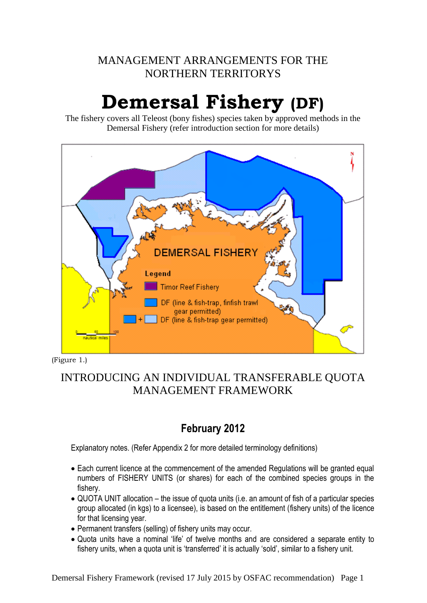# MANAGEMENT ARRANGEMENTS FOR THE NORTHERN TERRITORYS

# **Demersal Fishery (DF)**

The fishery covers all Teleost (bony fishes) species taken by approved methods in the Demersal Fishery (refer introduction section for more details)



(Figure 1.)

# INTRODUCING AN INDIVIDUAL TRANSFERABLE QUOTA MANAGEMENT FRAMEWORK

# **February 2012**

Explanatory notes. (Refer Appendix 2 for more detailed terminology definitions)

- Each current licence at the commencement of the amended Regulations will be granted equal numbers of FISHERY UNITS (or shares) for each of the combined species groups in the fishery.
- QUOTA UNIT allocation the issue of quota units (i.e. an amount of fish of a particular species group allocated (in kgs) to a licensee), is based on the entitlement (fishery units) of the licence for that licensing year.
- Permanent transfers (selling) of fishery units may occur.
- Quota units have a nominal 'life' of twelve months and are considered a separate entity to fishery units, when a quota unit is 'transferred' it is actually 'sold', similar to a fishery unit.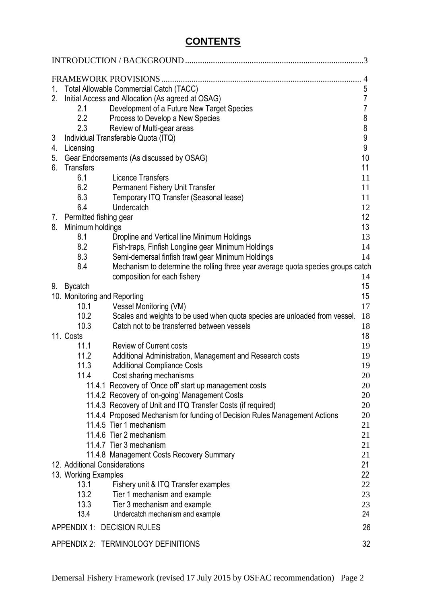# **CONTENTS**

|         |                               | FRAMEWORK PROVISIONS.                                                            | 4                                  |  |  |  |  |
|---------|-------------------------------|----------------------------------------------------------------------------------|------------------------------------|--|--|--|--|
| $1_{-}$ |                               | Total Allowable Commercial Catch (TACC)                                          | 5                                  |  |  |  |  |
| 2.      |                               | Initial Access and Allocation (As agreed at OSAG)                                | $\overline{7}$                     |  |  |  |  |
|         | 2.1                           | Development of a Future New Target Species                                       | $\overline{7}$                     |  |  |  |  |
|         | 2.2                           |                                                                                  |                                    |  |  |  |  |
|         |                               | Process to Develop a New Species                                                 | 8                                  |  |  |  |  |
|         | 2.3                           | Review of Multi-gear areas                                                       | $\bf 8$                            |  |  |  |  |
| 3       |                               | Individual Transferable Quota (ITQ)                                              | $\boldsymbol{9}$<br>$\overline{9}$ |  |  |  |  |
| 4.      | Licensing                     |                                                                                  |                                    |  |  |  |  |
| 5.      |                               | Gear Endorsements (As discussed by OSAG)                                         | 10                                 |  |  |  |  |
| 6.      | <b>Transfers</b>              |                                                                                  | 11                                 |  |  |  |  |
|         | 6.1                           | <b>Licence Transfers</b>                                                         | 11                                 |  |  |  |  |
|         | 6.2                           | Permanent Fishery Unit Transfer                                                  | 11                                 |  |  |  |  |
|         | 6.3                           | Temporary ITQ Transfer (Seasonal lease)                                          | 11                                 |  |  |  |  |
|         | 6.4                           | Undercatch                                                                       | 12                                 |  |  |  |  |
|         | 7. Permitted fishing gear     |                                                                                  | 12                                 |  |  |  |  |
| 8.      | Minimum holdings              |                                                                                  | 13                                 |  |  |  |  |
|         | 8.1                           | Dropline and Vertical line Minimum Holdings                                      | 13                                 |  |  |  |  |
|         | 8.2                           | Fish-traps, Finfish Longline gear Minimum Holdings                               | 14                                 |  |  |  |  |
|         | 8.3                           | Semi-demersal finfish trawl gear Minimum Holdings                                | 14                                 |  |  |  |  |
|         | 8.4                           | Mechanism to determine the rolling three year average quota species groups catch |                                    |  |  |  |  |
|         |                               | composition for each fishery                                                     | 14                                 |  |  |  |  |
|         | 9. Bycatch                    |                                                                                  | 15                                 |  |  |  |  |
|         | 10. Monitoring and Reporting  |                                                                                  | 15                                 |  |  |  |  |
|         | 10.1                          | Vessel Monitoring (VM)                                                           | 17                                 |  |  |  |  |
|         | 10.2                          | Scales and weights to be used when quota species are unloaded from vessel.       | 18                                 |  |  |  |  |
|         | 10.3                          | Catch not to be transferred between vessels                                      | 18                                 |  |  |  |  |
|         | 11. Costs                     |                                                                                  | 18                                 |  |  |  |  |
|         | 11.1                          | <b>Review of Current costs</b>                                                   | 19                                 |  |  |  |  |
|         | 11.2                          | Additional Administration, Management and Research costs                         | 19                                 |  |  |  |  |
|         | 11.3                          | <b>Additional Compliance Costs</b>                                               | 19                                 |  |  |  |  |
|         | 11.4                          | Cost sharing mechanisms                                                          | 20                                 |  |  |  |  |
|         |                               | 11.4.1 Recovery of 'Once off' start up management costs                          | 20                                 |  |  |  |  |
|         |                               | 11.4.2 Recovery of 'on-going' Management Costs                                   | 20                                 |  |  |  |  |
|         |                               | 11.4.3 Recovery of Unit and ITQ Transfer Costs (if required)                     | 20                                 |  |  |  |  |
|         |                               | 11.4.4 Proposed Mechanism for funding of Decision Rules Management Actions       | 20                                 |  |  |  |  |
|         |                               | 11.4.5 Tier 1 mechanism                                                          | 21                                 |  |  |  |  |
|         |                               | 11.4.6 Tier 2 mechanism                                                          | 21                                 |  |  |  |  |
|         |                               | 11.4.7 Tier 3 mechanism                                                          | 21                                 |  |  |  |  |
|         |                               | 11.4.8 Management Costs Recovery Summary                                         | 21                                 |  |  |  |  |
|         | 12. Additional Considerations |                                                                                  | 21                                 |  |  |  |  |
|         | 13. Working Examples          |                                                                                  | 22                                 |  |  |  |  |
|         | 13.1                          | Fishery unit & ITQ Transfer examples                                             | 22                                 |  |  |  |  |
|         | 13.2                          | Tier 1 mechanism and example                                                     | 23                                 |  |  |  |  |
|         | 13.3                          | Tier 3 mechanism and example                                                     | 23                                 |  |  |  |  |
|         | 13.4                          | Undercatch mechanism and example                                                 | 24                                 |  |  |  |  |
|         |                               | APPENDIX 1: DECISION RULES                                                       | 26                                 |  |  |  |  |
|         |                               |                                                                                  |                                    |  |  |  |  |
|         |                               | APPENDIX 2: TERMINOLOGY DEFINITIONS                                              | 32                                 |  |  |  |  |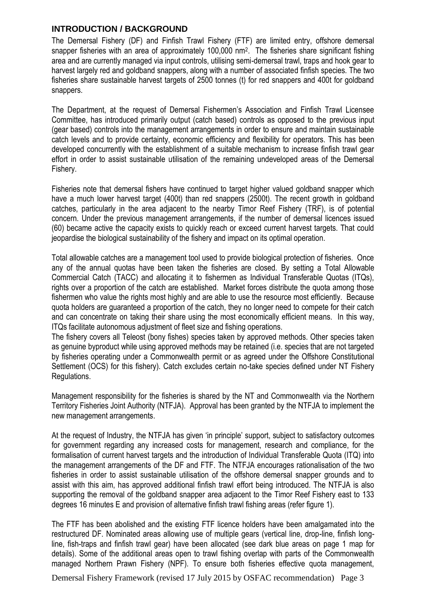#### <span id="page-2-0"></span>**INTRODUCTION / BACKGROUND**

The Demersal Fishery (DF) and Finfish Trawl Fishery (FTF) are limited entry, offshore demersal snapper fisheries with an area of approximately 100,000 nm<sup>2</sup>. The fisheries share significant fishing area and are currently managed via input controls, utilising semi-demersal trawl, traps and hook gear to harvest largely red and goldband snappers, along with a number of associated finfish species. The two fisheries share sustainable harvest targets of 2500 tonnes (t) for red snappers and 400t for goldband snappers.

The Department, at the request of Demersal Fishermen's Association and Finfish Trawl Licensee Committee, has introduced primarily output (catch based) controls as opposed to the previous input (gear based) controls into the management arrangements in order to ensure and maintain sustainable catch levels and to provide certainty, economic efficiency and flexibility for operators. This has been developed concurrently with the establishment of a suitable mechanism to increase finfish trawl gear effort in order to assist sustainable utilisation of the remaining undeveloped areas of the Demersal Fishery.

Fisheries note that demersal fishers have continued to target higher valued goldband snapper which have a much lower harvest target (400t) than red snappers (2500t). The recent growth in goldband catches, particularly in the area adjacent to the nearby Timor Reef Fishery (TRF), is of potential concern. Under the previous management arrangements, if the number of demersal licences issued (60) became active the capacity exists to quickly reach or exceed current harvest targets. That could jeopardise the biological sustainability of the fishery and impact on its optimal operation.

Total allowable catches are a management tool used to provide biological protection of fisheries. Once any of the annual quotas have been taken the fisheries are closed. By setting a Total Allowable Commercial Catch (TACC) and allocating it to fishermen as Individual Transferable Quotas (ITQs), rights over a proportion of the catch are established. Market forces distribute the quota among those fishermen who value the rights most highly and are able to use the resource most efficiently. Because quota holders are guaranteed a proportion of the catch, they no longer need to compete for their catch and can concentrate on taking their share using the most economically efficient means. In this way, ITQs facilitate autonomous adjustment of fleet size and fishing operations.

The fishery covers all Teleost (bony fishes) species taken by approved methods. Other species taken as genuine byproduct while using approved methods may be retained (i.e. species that are not targeted by fisheries operating under a Commonwealth permit or as agreed under the Offshore Constitutional Settlement (OCS) for this fishery). Catch excludes certain no-take species defined under NT Fishery Regulations.

Management responsibility for the fisheries is shared by the NT and Commonwealth via the Northern Territory Fisheries Joint Authority (NTFJA). Approval has been granted by the NTFJA to implement the new management arrangements.

At the request of Industry, the NTFJA has given 'in principle' support, subject to satisfactory outcomes for government regarding any increased costs for management, research and compliance, for the formalisation of current harvest targets and the introduction of Individual Transferable Quota (ITQ) into the management arrangements of the DF and FTF. The NTFJA encourages rationalisation of the two fisheries in order to assist sustainable utilisation of the offshore demersal snapper grounds and to assist with this aim, has approved additional finfish trawl effort being introduced. The NTFJA is also supporting the removal of the goldband snapper area adjacent to the Timor Reef Fishery east to 133 degrees 16 minutes E and provision of alternative finfish trawl fishing areas (refer figure 1).

The FTF has been abolished and the existing FTF licence holders have been amalgamated into the restructured DF. Nominated areas allowing use of multiple gears (vertical line, drop-line, finfish longline, fish-traps and finfish trawl gear) have been allocated (see dark blue areas on page 1 map for details). Some of the additional areas open to trawl fishing overlap with parts of the Commonwealth managed Northern Prawn Fishery (NPF). To ensure both fisheries effective quota management,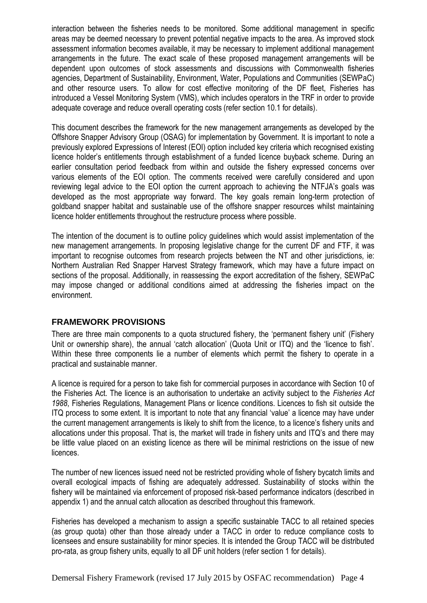interaction between the fisheries needs to be monitored. Some additional management in specific areas may be deemed necessary to prevent potential negative impacts to the area. As improved stock assessment information becomes available, it may be necessary to implement additional management arrangements in the future. The exact scale of these proposed management arrangements will be dependent upon outcomes of stock assessments and discussions with Commonwealth fisheries agencies, Department of Sustainability, Environment, Water, Populations and Communities (SEWPaC) and other resource users. To allow for cost effective monitoring of the DF fleet, Fisheries has introduced a Vessel Monitoring System (VMS), which includes operators in the TRF in order to provide adequate coverage and reduce overall operating costs (refer section 10.1 for details).

This document describes the framework for the new management arrangements as developed by the Offshore Snapper Advisory Group (OSAG) for implementation by Government. It is important to note a previously explored Expressions of Interest (EOI) option included key criteria which recognised existing licence holder's entitlements through establishment of a funded licence buyback scheme. During an earlier consultation period feedback from within and outside the fishery expressed concerns over various elements of the EOI option. The comments received were carefully considered and upon reviewing legal advice to the EOI option the current approach to achieving the NTFJA's goals was developed as the most appropriate way forward. The key goals remain long-term protection of goldband snapper habitat and sustainable use of the offshore snapper resources whilst maintaining licence holder entitlements throughout the restructure process where possible.

The intention of the document is to outline policy guidelines which would assist implementation of the new management arrangements. In proposing legislative change for the current DF and FTF, it was important to recognise outcomes from research projects between the NT and other jurisdictions, ie: Northern Australian Red Snapper Harvest Strategy framework, which may have a future impact on sections of the proposal. Additionally, in reassessing the export accreditation of the fishery, SEWPaC may impose changed or additional conditions aimed at addressing the fisheries impact on the environment.

#### <span id="page-3-0"></span>**FRAMEWORK PROVISIONS**

There are three main components to a quota structured fishery, the 'permanent fishery unit' (Fishery Unit or ownership share), the annual 'catch allocation' (Quota Unit or ITQ) and the 'licence to fish'. Within these three components lie a number of elements which permit the fishery to operate in a practical and sustainable manner.

A licence is required for a person to take fish for commercial purposes in accordance with Section 10 of the Fisheries Act. The licence is an authorisation to undertake an activity subject to the *Fisheries Act 1988*, Fisheries Regulations, Management Plans or licence conditions. Licences to fish sit outside the ITQ process to some extent. It is important to note that any financial 'value' a licence may have under the current management arrangements is likely to shift from the licence, to a licence's fishery units and allocations under this proposal. That is, the market will trade in fishery units and ITQ's and there may be little value placed on an existing licence as there will be minimal restrictions on the issue of new licences.

The number of new licences issued need not be restricted providing whole of fishery bycatch limits and overall ecological impacts of fishing are adequately addressed. Sustainability of stocks within the fishery will be maintained via enforcement of proposed risk-based performance indicators (described in appendix 1) and the annual catch allocation as described throughout this framework.

Fisheries has developed a mechanism to assign a specific sustainable TACC to all retained species (as group quota) other than those already under a TACC in order to reduce compliance costs to licensees and ensure sustainability for minor species. It is intended the Group TACC will be distributed pro-rata, as group fishery units, equally to all DF unit holders (refer section 1 for details).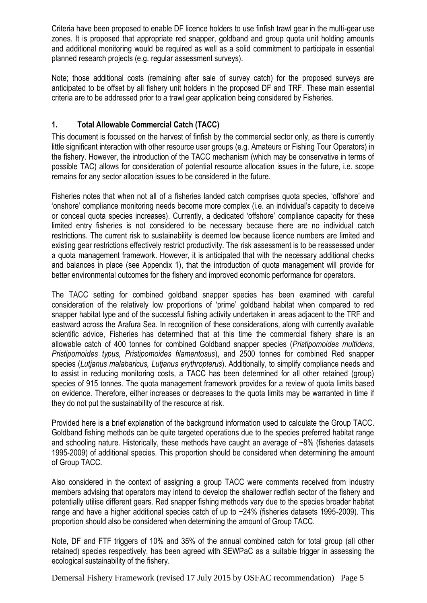Criteria have been proposed to enable DF licence holders to use finfish trawl gear in the multi-gear use zones. It is proposed that appropriate red snapper, goldband and group quota unit holding amounts and additional monitoring would be required as well as a solid commitment to participate in essential planned research projects (e.g. regular assessment surveys).

Note; those additional costs (remaining after sale of survey catch) for the proposed surveys are anticipated to be offset by all fishery unit holders in the proposed DF and TRF. These main essential criteria are to be addressed prior to a trawl gear application being considered by Fisheries.

# <span id="page-4-0"></span>**1. Total Allowable Commercial Catch (TACC)**

This document is focussed on the harvest of finfish by the commercial sector only, as there is currently little significant interaction with other resource user groups (e.g. Amateurs or Fishing Tour Operators) in the fishery. However, the introduction of the TACC mechanism (which may be conservative in terms of possible TAC) allows for consideration of potential resource allocation issues in the future, i.e. scope remains for any sector allocation issues to be considered in the future.

Fisheries notes that when not all of a fisheries landed catch comprises quota species, 'offshore' and 'onshore' compliance monitoring needs become more complex (i.e. an individual's capacity to deceive or conceal quota species increases). Currently, a dedicated 'offshore' compliance capacity for these limited entry fisheries is not considered to be necessary because there are no individual catch restrictions. The current risk to sustainability is deemed low because licence numbers are limited and existing gear restrictions effectively restrict productivity. The risk assessment is to be reassessed under a quota management framework. However, it is anticipated that with the necessary additional checks and balances in place (see Appendix 1), that the introduction of quota management will provide for better environmental outcomes for the fishery and improved economic performance for operators.

The TACC setting for combined goldband snapper species has been examined with careful consideration of the relatively low proportions of 'prime' goldband habitat when compared to red snapper habitat type and of the successful fishing activity undertaken in areas adjacent to the TRF and eastward across the Arafura Sea. In recognition of these considerations, along with currently available scientific advice. Fisheries has determined that at this time the commercial fishery share is an allowable catch of 400 tonnes for combined Goldband snapper species (*Pristipomoides multidens, Pristipomoides typus, Pristipomoides filamentosus*), and 2500 tonnes for combined Red snapper species (*Lutjanus malabaricus, Lutjanus erythropterus*). Additionally, to simplify compliance needs and to assist in reducing monitoring costs, a TACC has been determined for all other retained (group) species of 915 tonnes. The quota management framework provides for a review of quota limits based on evidence. Therefore, either increases or decreases to the quota limits may be warranted in time if they do not put the sustainability of the resource at risk.

Provided here is a brief explanation of the background information used to calculate the Group TACC. Goldband fishing methods can be quite targeted operations due to the species preferred habitat range and schooling nature. Historically, these methods have caught an average of ~8% (fisheries datasets 1995-2009) of additional species. This proportion should be considered when determining the amount of Group TACC.

Also considered in the context of assigning a group TACC were comments received from industry members advising that operators may intend to develop the shallower redfish sector of the fishery and potentially utilise different gears. Red snapper fishing methods vary due to the species broader habitat range and have a higher additional species catch of up to ~24% (fisheries datasets 1995-2009). This proportion should also be considered when determining the amount of Group TACC.

Note, DF and FTF triggers of 10% and 35% of the annual combined catch for total group (all other retained) species respectively, has been agreed with SEWPaC as a suitable trigger in assessing the ecological sustainability of the fishery.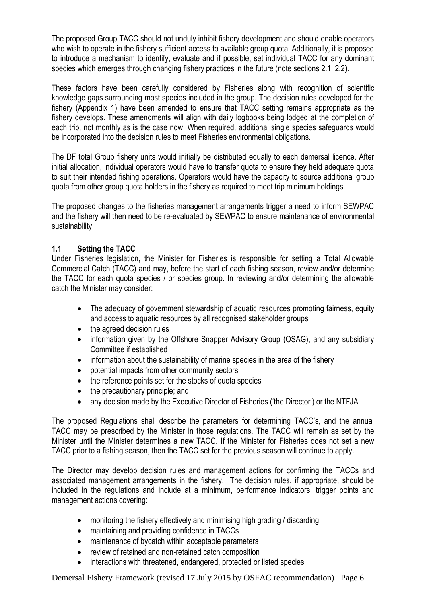The proposed Group TACC should not unduly inhibit fishery development and should enable operators who wish to operate in the fishery sufficient access to available group quota. Additionally, it is proposed to introduce a mechanism to identify, evaluate and if possible, set individual TACC for any dominant species which emerges through changing fishery practices in the future (note sections 2.1, 2.2).

These factors have been carefully considered by Fisheries along with recognition of scientific knowledge gaps surrounding most species included in the group. The decision rules developed for the fishery (Appendix 1) have been amended to ensure that TACC setting remains appropriate as the fishery develops. These amendments will align with daily logbooks being lodged at the completion of each trip, not monthly as is the case now. When required, additional single species safeguards would be incorporated into the decision rules to meet Fisheries environmental obligations.

The DF total Group fishery units would initially be distributed equally to each demersal licence. After initial allocation, individual operators would have to transfer quota to ensure they held adequate quota to suit their intended fishing operations. Operators would have the capacity to source additional group quota from other group quota holders in the fishery as required to meet trip minimum holdings.

The proposed changes to the fisheries management arrangements trigger a need to inform SEWPAC and the fishery will then need to be re-evaluated by SEWPAC to ensure maintenance of environmental sustainability.

#### **1.1 Setting the TACC**

Under Fisheries legislation, the Minister for Fisheries is responsible for setting a Total Allowable Commercial Catch (TACC) and may, before the start of each fishing season, review and/or determine the TACC for each quota species / or species group. In reviewing and/or determining the allowable catch the Minister may consider:

- The adequacy of government stewardship of aquatic resources promoting fairness, equity and access to aquatic resources by all recognised stakeholder groups
- the agreed decision rules
- information given by the Offshore Snapper Advisory Group (OSAG), and any subsidiary Committee if established
- information about the sustainability of marine species in the area of the fishery
- potential impacts from other community sectors
- the reference points set for the stocks of quota species
- the precautionary principle; and
- any decision made by the Executive Director of Fisheries ('the Director') or the NTFJA

The proposed Regulations shall describe the parameters for determining TACC's, and the annual TACC may be prescribed by the Minister in those regulations. The TACC will remain as set by the Minister until the Minister determines a new TACC. If the Minister for Fisheries does not set a new TACC prior to a fishing season, then the TACC set for the previous season will continue to apply.

The Director may develop decision rules and management actions for confirming the TACCs and associated management arrangements in the fishery. The decision rules, if appropriate, should be included in the regulations and include at a minimum, performance indicators, trigger points and management actions covering:

- monitoring the fishery effectively and minimising high grading / discarding
- maintaining and providing confidence in TACCs
- maintenance of bycatch within acceptable parameters
- review of retained and non-retained catch composition
- interactions with threatened, endangered, protected or listed species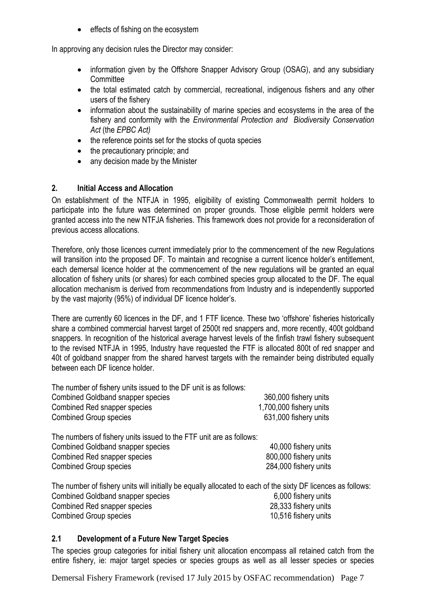• effects of fishing on the ecosystem

In approving any decision rules the Director may consider:

- information given by the Offshore Snapper Advisory Group (OSAG), and any subsidiary **Committee**
- the total estimated catch by commercial, recreational, indigenous fishers and any other users of the fishery
- information about the sustainability of marine species and ecosystems in the area of the fishery and conformity with the *Environmental Protection and Biodiversity Conservation Act* (the *EPBC Act)*
- the reference points set for the stocks of quota species
- the precautionary principle; and
- any decision made by the Minister

#### <span id="page-6-0"></span>**2. Initial Access and Allocation**

On establishment of the NTFJA in 1995, eligibility of existing Commonwealth permit holders to participate into the future was determined on proper grounds. Those eligible permit holders were granted access into the new NTFJA fisheries. This framework does not provide for a reconsideration of previous access allocations.

Therefore, only those licences current immediately prior to the commencement of the new Regulations will transition into the proposed DF. To maintain and recognise a current licence holder's entitlement, each demersal licence holder at the commencement of the new regulations will be granted an equal allocation of fishery units (or shares) for each combined species group allocated to the DF. The equal allocation mechanism is derived from recommendations from Industry and is independently supported by the vast majority (95%) of individual DF licence holder's.

There are currently 60 licences in the DF, and 1 FTF licence. These two 'offshore' fisheries historically share a combined commercial harvest target of 2500t red snappers and, more recently, 400t goldband snappers. In recognition of the historical average harvest levels of the finfish trawl fishery subsequent to the revised NTFJA in 1995, Industry have requested the FTF is allocated 800t of red snapper and 40t of goldband snapper from the shared harvest targets with the remainder being distributed equally between each DF licence holder.

The number of fishery units issued to the DF unit is as follows: Combined Goldband snapper species 360,000 fishery units Combined Red snapper species 1,700,000 fishery units Combined Group species 631,000 fishery units The numbers of fishery units issued to the FTF unit are as follows: Combined Goldband snapper species 40,000 fishery units Combined Red snapper species 800,000 fishery units Combined Group species 284,000 fishery units

The number of fishery units will initially be equally allocated to each of the sixty DF licences as follows: Combined Goldband snapper species 6,000 fishery units Combined Red snapper species 28,333 fishery units Combined Group species 10,516 fishery units

#### <span id="page-6-1"></span>**2.1 Development of a Future New Target Species**

The species group categories for initial fishery unit allocation encompass all retained catch from the entire fishery, ie: major target species or species groups as well as all lesser species or species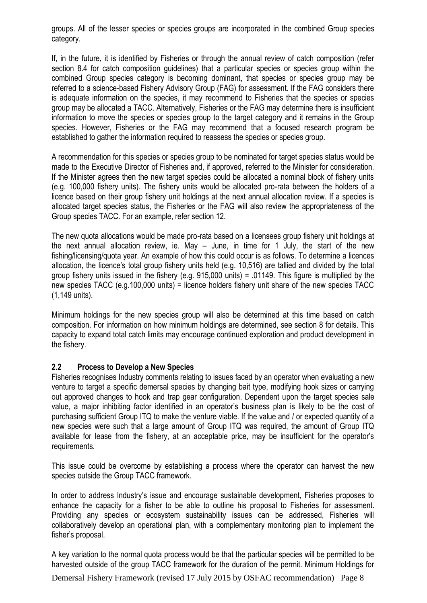groups. All of the lesser species or species groups are incorporated in the combined Group species category.

If, in the future, it is identified by Fisheries or through the annual review of catch composition (refer section 8.4 for catch composition quidelines) that a particular species or species group within the combined Group species category is becoming dominant, that species or species group may be referred to a science-based Fishery Advisory Group (FAG) for assessment. If the FAG considers there is adequate information on the species, it may recommend to Fisheries that the species or species group may be allocated a TACC. Alternatively, Fisheries or the FAG may determine there is insufficient information to move the species or species group to the target category and it remains in the Group species. However, Fisheries or the FAG may recommend that a focused research program be established to gather the information required to reassess the species or species group.

A recommendation for this species or species group to be nominated for target species status would be made to the Executive Director of Fisheries and, if approved, referred to the Minister for consideration. If the Minister agrees then the new target species could be allocated a nominal block of fishery units (e.g. 100,000 fishery units). The fishery units would be allocated pro-rata between the holders of a licence based on their group fishery unit holdings at the next annual allocation review. If a species is allocated target species status, the Fisheries or the FAG will also review the appropriateness of the Group species TACC. For an example, refer section 12.

The new quota allocations would be made pro-rata based on a licensees group fishery unit holdings at the next annual allocation review, ie. May – June, in time for 1 July, the start of the new fishing/licensing/quota year. An example of how this could occur is as follows. To determine a licences allocation, the licence's total group fishery units held (e.g. 10,516) are tallied and divided by the total group fishery units issued in the fishery (e.g. 915,000 units) = .01149. This figure is multiplied by the new species TACC (e.g.100,000 units) = licence holders fishery unit share of the new species TACC (1,149 units).

Minimum holdings for the new species group will also be determined at this time based on catch composition. For information on how minimum holdings are determined, see section 8 for details. This capacity to expand total catch limits may encourage continued exploration and product development in the fishery.

#### <span id="page-7-0"></span>**2.2 Process to Develop a New Species**

Fisheries recognises Industry comments relating to issues faced by an operator when evaluating a new venture to target a specific demersal species by changing bait type, modifying hook sizes or carrying out approved changes to hook and trap gear configuration. Dependent upon the target species sale value, a major inhibiting factor identified in an operator's business plan is likely to be the cost of purchasing sufficient Group ITQ to make the venture viable. If the value and / or expected quantity of a new species were such that a large amount of Group ITQ was required, the amount of Group ITQ available for lease from the fishery, at an acceptable price, may be insufficient for the operator's requirements.

This issue could be overcome by establishing a process where the operator can harvest the new species outside the Group TACC framework.

In order to address Industry's issue and encourage sustainable development, Fisheries proposes to enhance the capacity for a fisher to be able to outline his proposal to Fisheries for assessment. Providing any species or ecosystem sustainability issues can be addressed, Fisheries will collaboratively develop an operational plan, with a complementary monitoring plan to implement the fisher's proposal.

A key variation to the normal quota process would be that the particular species will be permitted to be harvested outside of the group TACC framework for the duration of the permit. Minimum Holdings for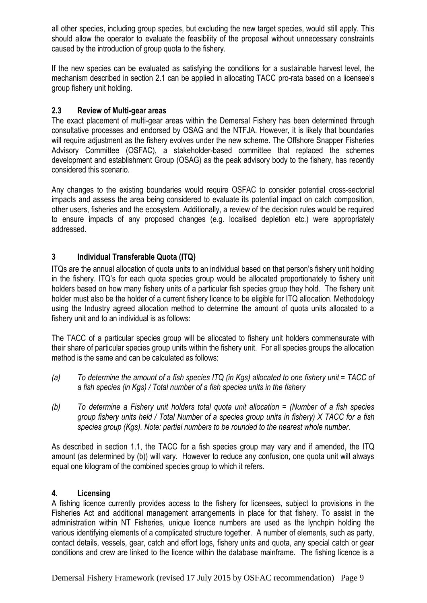all other species, including group species, but excluding the new target species, would still apply. This should allow the operator to evaluate the feasibility of the proposal without unnecessary constraints caused by the introduction of group quota to the fishery.

If the new species can be evaluated as satisfying the conditions for a sustainable harvest level, the mechanism described in section 2.1 can be applied in allocating TACC pro-rata based on a licensee's group fishery unit holding.

#### **2.3 Review of Multi-gear areas**

The exact placement of multi-gear areas within the Demersal Fishery has been determined through consultative processes and endorsed by OSAG and the NTFJA. However, it is likely that boundaries will require adjustment as the fishery evolves under the new scheme. The Offshore Snapper Fisheries Advisory Committee (OSFAC), a stakeholder-based committee that replaced the schemes development and establishment Group (OSAG) as the peak advisory body to the fishery, has recently considered this scenario.

Any changes to the existing boundaries would require OSFAC to consider potential cross-sectorial impacts and assess the area being considered to evaluate its potential impact on catch composition, other users, fisheries and the ecosystem. Additionally, a review of the decision rules would be required to ensure impacts of any proposed changes (e.g. localised depletion etc.) were appropriately addressed.

#### <span id="page-8-0"></span>**3 Individual Transferable Quota (ITQ)**

ITQs are the annual allocation of quota units to an individual based on that person's fishery unit holding in the fishery. ITQ's for each quota species group would be allocated proportionately to fishery unit holders based on how many fishery units of a particular fish species group they hold. The fishery unit holder must also be the holder of a current fishery licence to be eligible for ITQ allocation. Methodology using the Industry agreed allocation method to determine the amount of quota units allocated to a fishery unit and to an individual is as follows:

The TACC of a particular species group will be allocated to fishery unit holders commensurate with their share of particular species group units within the fishery unit. For all species groups the allocation method is the same and can be calculated as follows:

- *(a) To determine the amount of a fish species ITQ (in Kgs) allocated to one fishery unit = TACC of a fish species (in Kgs) / Total number of a fish species units in the fishery*
- *(b) To determine a Fishery unit holders total quota unit allocation = (Number of a fish species group fishery units held / Total Number of a species group units in fishery) X TACC for a fish species group (Kgs). Note: partial numbers to be rounded to the nearest whole number.*

As described in section 1.1, the TACC for a fish species group may vary and if amended, the ITQ amount (as determined by (b)) will vary. However to reduce any confusion, one quota unit will always equal one kilogram of the combined species group to which it refers.

#### <span id="page-8-1"></span>**4. Licensing**

A fishing licence currently provides access to the fishery for licensees, subject to provisions in the Fisheries Act and additional management arrangements in place for that fishery. To assist in the administration within NT Fisheries, unique licence numbers are used as the lynchpin holding the various identifying elements of a complicated structure together. A number of elements, such as party, contact details, vessels, gear, catch and effort logs, fishery units and quota, any special catch or gear conditions and crew are linked to the licence within the database mainframe. The fishing licence is a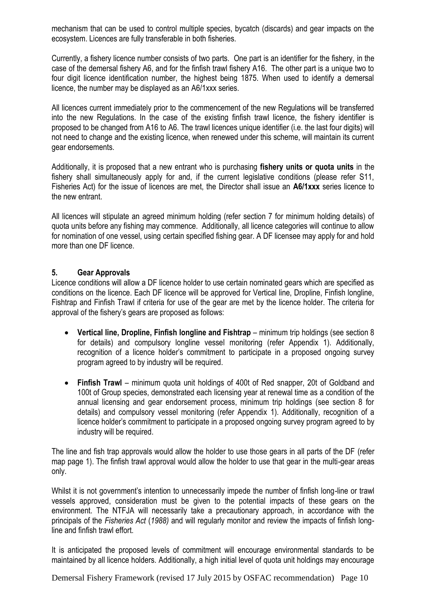mechanism that can be used to control multiple species, bycatch (discards) and gear impacts on the ecosystem. Licences are fully transferable in both fisheries.

Currently, a fishery licence number consists of two parts. One part is an identifier for the fishery, in the case of the demersal fishery A6, and for the finfish trawl fishery A16. The other part is a unique two to four digit licence identification number, the highest being 1875. When used to identify a demersal licence, the number may be displayed as an A6/1xxx series.

All licences current immediately prior to the commencement of the new Regulations will be transferred into the new Regulations. In the case of the existing finfish trawl licence, the fishery identifier is proposed to be changed from A16 to A6. The trawl licences unique identifier (i.e. the last four digits) will not need to change and the existing licence, when renewed under this scheme, will maintain its current gear endorsements.

Additionally, it is proposed that a new entrant who is purchasing **fishery units or quota units** in the fishery shall simultaneously apply for and, if the current legislative conditions (please refer S11, Fisheries Act) for the issue of licences are met, the Director shall issue an **A6/1xxx** series licence to the new entrant.

All licences will stipulate an agreed minimum holding (refer section 7 for minimum holding details) of quota units before any fishing may commence. Additionally, all licence categories will continue to allow for nomination of one vessel, using certain specified fishing gear. A DF licensee may apply for and hold more than one DF licence.

#### <span id="page-9-0"></span>**5. Gear Approvals**

Licence conditions will allow a DF licence holder to use certain nominated gears which are specified as conditions on the licence. Each DF licence will be approved for Vertical line, Dropline, Finfish longline, Fishtrap and Finfish Trawl if criteria for use of the gear are met by the licence holder. The criteria for approval of the fishery's gears are proposed as follows:

- **Vertical line, Dropline, Finfish longline and Fishtrap** minimum trip holdings (see section 8 for details) and compulsory longline vessel monitoring (refer Appendix 1). Additionally, recognition of a licence holder's commitment to participate in a proposed ongoing survey program agreed to by industry will be required.
- **Finfish Trawl** minimum quota unit holdings of 400t of Red snapper, 20t of Goldband and 100t of Group species, demonstrated each licensing year at renewal time as a condition of the annual licensing and gear endorsement process, minimum trip holdings (see section 8 for details) and compulsory vessel monitoring (refer Appendix 1). Additionally, recognition of a licence holder's commitment to participate in a proposed ongoing survey program agreed to by industry will be required.

The line and fish trap approvals would allow the holder to use those gears in all parts of the DF (refer map page 1). The finfish trawl approval would allow the holder to use that gear in the multi-gear areas only.

Whilst it is not government's intention to unnecessarily impede the number of finfish long-line or trawl vessels approved, consideration must be given to the potential impacts of these gears on the environment. The NTFJA will necessarily take a precautionary approach, in accordance with the principals of the *Fisheries Act* (*1988)* and will regularly monitor and review the impacts of finfish longline and finfish trawl effort.

It is anticipated the proposed levels of commitment will encourage environmental standards to be maintained by all licence holders. Additionally, a high initial level of quota unit holdings may encourage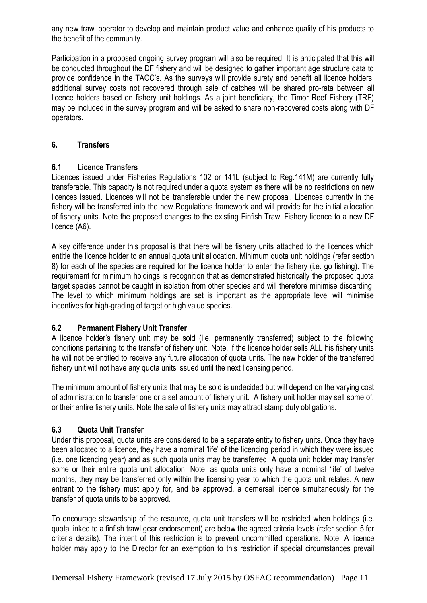any new trawl operator to develop and maintain product value and enhance quality of his products to the benefit of the community.

Participation in a proposed ongoing survey program will also be required. It is anticipated that this will be conducted throughout the DF fishery and will be designed to gather important age structure data to provide confidence in the TACC's. As the surveys will provide surety and benefit all licence holders, additional survey costs not recovered through sale of catches will be shared pro-rata between all licence holders based on fishery unit holdings. As a joint beneficiary, the Timor Reef Fishery (TRF) may be included in the survey program and will be asked to share non-recovered costs along with DF operators.

#### <span id="page-10-1"></span><span id="page-10-0"></span>**6. Transfers**

#### **6.1 Licence Transfers**

Licences issued under Fisheries Regulations 102 or 141L (subject to Reg.141M) are currently fully transferable. This capacity is not required under a quota system as there will be no restrictions on new licences issued. Licences will not be transferable under the new proposal. Licences currently in the fishery will be transferred into the new Regulations framework and will provide for the initial allocation of fishery units. Note the proposed changes to the existing Finfish Trawl Fishery licence to a new DF licence (A6).

A key difference under this proposal is that there will be fishery units attached to the licences which entitle the licence holder to an annual quota unit allocation. Minimum quota unit holdings (refer section 8) for each of the species are required for the licence holder to enter the fishery (i.e. go fishing). The requirement for minimum holdings is recognition that as demonstrated historically the proposed quota target species cannot be caught in isolation from other species and will therefore minimise discarding. The level to which minimum holdings are set is important as the appropriate level will minimise incentives for high-grading of target or high value species.

#### <span id="page-10-2"></span>**6.2 Permanent Fishery Unit Transfer**

A licence holder's fishery unit may be sold (i.e. permanently transferred) subject to the following conditions pertaining to the transfer of fishery unit. Note, if the licence holder sells ALL his fishery units he will not be entitled to receive any future allocation of quota units. The new holder of the transferred fishery unit will not have any quota units issued until the next licensing period.

The minimum amount of fishery units that may be sold is undecided but will depend on the varying cost of administration to transfer one or a set amount of fishery unit. A fishery unit holder may sell some of, or their entire fishery units. Note the sale of fishery units may attract stamp duty obligations.

#### <span id="page-10-3"></span>**6.3 Quota Unit Transfer**

Under this proposal, quota units are considered to be a separate entity to fishery units. Once they have been allocated to a licence, they have a nominal 'life' of the licencing period in which they were issued (i.e. one licencing year) and as such quota units may be transferred. A quota unit holder may transfer some or their entire quota unit allocation. Note: as quota units only have a nominal 'life' of twelve months, they may be transferred only within the licensing year to which the quota unit relates. A new entrant to the fishery must apply for, and be approved, a demersal licence simultaneously for the transfer of quota units to be approved.

To encourage stewardship of the resource, quota unit transfers will be restricted when holdings (i.e. quota linked to a finfish trawl gear endorsement) are below the agreed criteria levels (refer section 5 for criteria details). The intent of this restriction is to prevent uncommitted operations. Note: A licence holder may apply to the Director for an exemption to this restriction if special circumstances prevail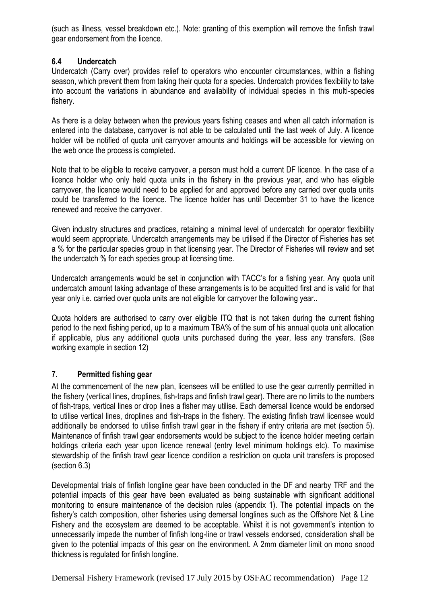(such as illness, vessel breakdown etc.). Note: granting of this exemption will remove the finfish trawl gear endorsement from the licence.

#### <span id="page-11-0"></span>**6.4 Undercatch**

Undercatch (Carry over) provides relief to operators who encounter circumstances, within a fishing season, which prevent them from taking their quota for a species. Undercatch provides flexibility to take into account the variations in abundance and availability of individual species in this multi-species fishery.

As there is a delay between when the previous years fishing ceases and when all catch information is entered into the database, carryover is not able to be calculated until the last week of July. A licence holder will be notified of quota unit carryover amounts and holdings will be accessible for viewing on the web once the process is completed.

Note that to be eligible to receive carryover, a person must hold a current DF licence. In the case of a licence holder who only held quota units in the fishery in the previous year, and who has eligible carryover, the licence would need to be applied for and approved before any carried over quota units could be transferred to the licence. The licence holder has until December 31 to have the licence renewed and receive the carryover.

Given industry structures and practices, retaining a minimal level of undercatch for operator flexibility would seem appropriate. Undercatch arrangements may be utilised if the Director of Fisheries has set a % for the particular species group in that licensing year. The Director of Fisheries will review and set the undercatch % for each species group at licensing time.

Undercatch arrangements would be set in conjunction with TACC's for a fishing year. Any quota unit undercatch amount taking advantage of these arrangements is to be acquitted first and is valid for that year only i.e. carried over quota units are not eligible for carryover the following year*..*

Quota holders are authorised to carry over eligible ITQ that is not taken during the current fishing period to the next fishing period, up to a maximum TBA% of the sum of his annual quota unit allocation if applicable, plus any additional quota units purchased during the year, less any transfers*.* (See working example in section 12)

#### <span id="page-11-1"></span>**7. Permitted fishing gear**

At the commencement of the new plan, licensees will be entitled to use the gear currently permitted in the fishery (vertical lines, droplines, fish-traps and finfish trawl gear). There are no limits to the numbers of fish-traps, vertical lines or drop lines a fisher may utilise. Each demersal licence would be endorsed to utilise vertical lines, droplines and fish-traps in the fishery. The existing finfish trawl licensee would additionally be endorsed to utilise finfish trawl gear in the fishery if entry criteria are met (section 5). Maintenance of finfish trawl gear endorsements would be subject to the licence holder meeting certain holdings criteria each year upon licence renewal (entry level minimum holdings etc). To maximise stewardship of the finfish trawl gear licence condition a restriction on quota unit transfers is proposed (section 6.3)

Developmental trials of finfish longline gear have been conducted in the DF and nearby TRF and the potential impacts of this gear have been evaluated as being sustainable with significant additional monitoring to ensure maintenance of the decision rules (appendix 1). The potential impacts on the fishery's catch composition, other fisheries using demersal longlines such as the Offshore Net & Line Fishery and the ecosystem are deemed to be acceptable. Whilst it is not government's intention to unnecessarily impede the number of finfish long-line or trawl vessels endorsed, consideration shall be given to the potential impacts of this gear on the environment. A 2mm diameter limit on mono snood thickness is regulated for finfish longline.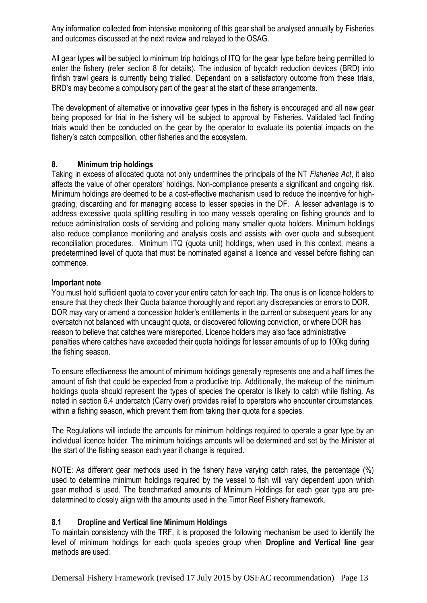Any information collected from intensive monitoring of this gear shall be analysed annually by Fisheries and outcomes discussed at the next review and relayed to the OSAG.

All gear types will be subject to minimum trip holdings of ITQ for the gear type before being permitted to enter the fishery (refer section 8 for details). The inclusion of bycatch reduction devices (BRD) into finfish trawl gears is currently being trialled. Dependant on a satisfactory outcome from these trials, BRD's may become a compulsory part of the gear at the start of these arrangements.

The development of alternative or innovative gear types in the fishery is encouraged and all new gear being proposed for trial in the fishery will be subject to approval by Fisheries. Validated fact finding trials would then be conducted on the gear by the operator to evaluate its potential impacts on the fishery's catch composition, other fisheries and the ecosystem.

#### <span id="page-12-0"></span>**8. Minimum trip holdings**

Taking in excess of allocated quota not only undermines the principals of the NT *Fisheries Act*, it also affects the value of other operators' holdings. Non-compliance presents a significant and ongoing risk. Minimum holdings are deemed to be a cost-effective mechanism used to reduce the incentive for highgrading, discarding and for managing access to lesser species in the DF. A lesser advantage is to address excessive quota splitting resulting in too many vessels operating on fishing grounds and to reduce administration costs of servicing and policing many smaller quota holders. Minimum holdings also reduce compliance monitoring and analysis costs and assists with over quota and subsequent reconciliation procedures. Minimum ITQ (quota unit) holdings, when used in this context, means a predetermined level of quota that must be nominated against a licence and vessel before fishing can commence.

#### **Important note**

You must hold sufficient quota to cover your entire catch for each trip. The onus is on licence holders to ensure that they check their Quota balance thoroughly and report any discrepancies or errors to DOR. DOR may vary or amend a concession holder's entitlements in the current or subsequent years for any overcatch not balanced with uncaught quota, or discovered following conviction, or where DOR has reason to believe that catches were misreported. Licence holders may also face administrative penalties where catches have exceeded their quota holdings for lesser amounts of up to 100kg during the fishing season.

To ensure effectiveness the amount of minimum holdings generally represents one and a half times the amount of fish that could be expected from a productive trip. Additionally, the makeup of the minimum holdings quota should represent the types of species the operator is likely to catch while fishing. As noted in section 6.4 undercatch (Carry over) provides relief to operators who encounter circumstances, within a fishing season, which prevent them from taking their quota for a species.

The Regulations will include the amounts for minimum holdings required to operate a gear type by an individual licence holder. The minimum holdings amounts will be determined and set by the Minister at the start of the fishing season each year if change is required.

NOTE: As different gear methods used in the fishery have varying catch rates, the percentage (%) used to determine minimum holdings required by the vessel to fish will vary dependent upon which gear method is used. The benchmarked amounts of Minimum Holdings for each gear type are predetermined to closely align with the amounts used in the Timor Reef Fishery framework.

#### <span id="page-12-1"></span>**8.1 Dropline and Vertical line Minimum Holdings**

To maintain consistency with the TRF, it is proposed the following mechanism be used to identify the level of minimum holdings for each quota species group when **Dropline and Vertical line** gear methods are used: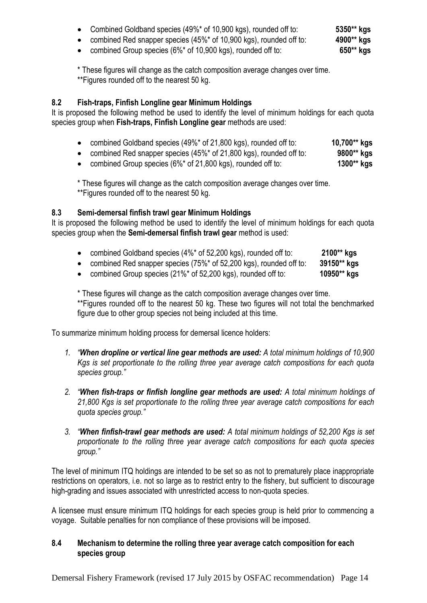|  |  | Combined Goldband species (49%* of 10,900 kgs), rounded off to: | 5350** kgs |
|--|--|-----------------------------------------------------------------|------------|
|--|--|-----------------------------------------------------------------|------------|

- combined Red snapper species (45%\* of 10,900 kgs), rounded off to: **4900\*\* kgs**
- combined Group species (6%\* of 10,900 kgs), rounded off to: **650\*\* kgs**

\* These figures will change as the catch composition average changes over time. \*\*Figures rounded off to the nearest 50 kg.

# <span id="page-13-0"></span>**8.2 Fish-traps, Finfish Longline gear Minimum Holdings**

It is proposed the following method be used to identify the level of minimum holdings for each quota species group when **Fish-traps, Finfish Longline gear** methods are used:

- combined Goldband species (49%\* of 21,800 kgs), rounded off to: **10,700\*\* kgs**
- combined Red snapper species (45%\* of 21,800 kgs), rounded off to: **9800\*\* kgs**
- combined Group species (6%\* of 21,800 kgs), rounded off to: **1300\*\* kgs**

\* These figures will change as the catch composition average changes over time. \*\*Figures rounded off to the nearest 50 kg.

#### <span id="page-13-1"></span>**8.3 Semi-demersal finfish trawl gear Minimum Holdings**

It is proposed the following method be used to identify the level of minimum holdings for each quota species group when the **Semi-demersal finfish trawl gear** method is used:

- combined Goldband species (4%\* of 52,200 kgs), rounded off to: **2100\*\* kgs**
- combined Red snapper species (75%\* of 52,200 kgs), rounded off to: **39150\*\* kgs**
- combined Group species (21%\* of 52,200 kgs), rounded off to: **10950\*\* kgs**

\* These figures will change as the catch composition average changes over time. \*\*Figures rounded off to the nearest 50 kg. These two figures will not total the benchmarked figure due to other group species not being included at this time.

To summarize minimum holding process for demersal licence holders:

- *1. "When dropline or vertical line gear methods are used: A total minimum holdings of 10,900 Kgs is set proportionate to the rolling three year average catch compositions for each quota species group."*
- *2. "When fish-traps or finfish longline gear methods are used: A total minimum holdings of 21,800 Kgs is set proportionate to the rolling three year average catch compositions for each quota species group."*
- *3. "When finfish-trawl gear methods are used: A total minimum holdings of 52,200 Kgs is set proportionate to the rolling three year average catch compositions for each quota species group."*

The level of minimum ITQ holdings are intended to be set so as not to prematurely place inappropriate restrictions on operators, i.e. not so large as to restrict entry to the fishery, but sufficient to discourage high-grading and issues associated with unrestricted access to non-quota species.

A licensee must ensure minimum ITQ holdings for each species group is held prior to commencing a voyage. Suitable penalties for non compliance of these provisions will be imposed.

#### <span id="page-13-2"></span>**8.4 Mechanism to determine the rolling three year average catch composition for each species group**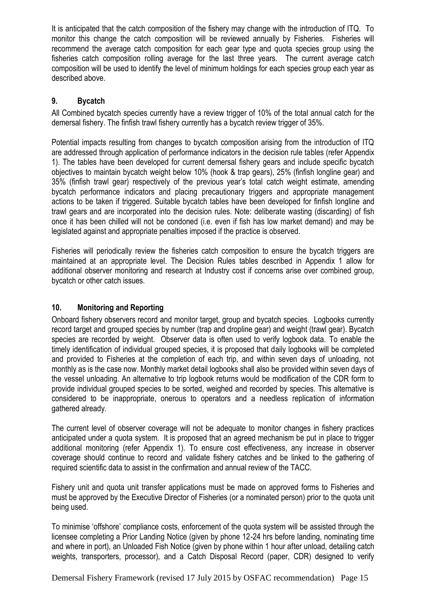It is anticipated that the catch composition of the fishery may change with the introduction of ITQ. To monitor this change the catch composition will be reviewed annually by Fisheries. Fisheries will recommend the average catch composition for each gear type and quota species group using the fisheries catch composition rolling average for the last three years. The current average catch composition will be used to identify the level of minimum holdings for each species group each year as described above.

## <span id="page-14-0"></span>**9. Bycatch**

All Combined bycatch species currently have a review trigger of 10% of the total annual catch for the demersal fishery. The finfish trawl fishery currently has a bycatch review trigger of 35%.

Potential impacts resulting from changes to bycatch composition arising from the introduction of ITQ are addressed through application of performance indicators in the decision rule tables (refer Appendix 1). The tables have been developed for current demersal fishery gears and include specific bycatch objectives to maintain bycatch weight below 10% (hook & trap gears), 25% (finfish longline gear) and 35% (finfish trawl gear) respectively of the previous year's total catch weight estimate, amending bycatch performance indicators and placing precautionary triggers and appropriate management actions to be taken if triggered. Suitable bycatch tables have been developed for finfish longline and trawl gears and are incorporated into the decision rules. Note: deliberate wasting (discarding) of fish once it has been chilled will not be condoned (i.e. even if fish has low market demand) and may be legislated against and appropriate penalties imposed if the practice is observed.

Fisheries will periodically review the fisheries catch composition to ensure the bycatch triggers are maintained at an appropriate level. The Decision Rules tables described in Appendix 1 allow for additional observer monitoring and research at Industry cost if concerns arise over combined group, bycatch or other catch issues.

#### <span id="page-14-1"></span>**10. Monitoring and Reporting**

Onboard fishery observers record and monitor target, group and bycatch species. Logbooks currently record target and grouped species by number (trap and dropline gear) and weight (trawl gear). Bycatch species are recorded by weight. Observer data is often used to verify logbook data. To enable the timely identification of individual grouped species, it is proposed that daily logbooks will be completed and provided to Fisheries at the completion of each trip, and within seven days of unloading, not monthly as is the case now. Monthly market detail logbooks shall also be provided within seven days of the vessel unloading. An alternative to trip logbook returns would be modification of the CDR form to provide individual grouped species to be sorted, weighed and recorded by species. This alternative is considered to be inappropriate, onerous to operators and a needless replication of information gathered already.

The current level of observer coverage will not be adequate to monitor changes in fishery practices anticipated under a quota system. It is proposed that an agreed mechanism be put in place to trigger additional monitoring (refer Appendix 1)*.* To ensure cost effectiveness, any increase in observer coverage should continue to record and validate fishery catches and be linked to the gathering of required scientific data to assist in the confirmation and annual review of the TACC.

Fishery unit and quota unit transfer applications must be made on approved forms to Fisheries and must be approved by the Executive Director of Fisheries (or a nominated person) prior to the quota unit being used.

To minimise 'offshore' compliance costs, enforcement of the quota system will be assisted through the licensee completing a Prior Landing Notice (given by phone 12-24 hrs before landing, nominating time and where in port), an Unloaded Fish Notice (given by phone within 1 hour after unload, detailing catch weights, transporters, processor)*,* and a Catch Disposal Record (paper, CDR) designed to verify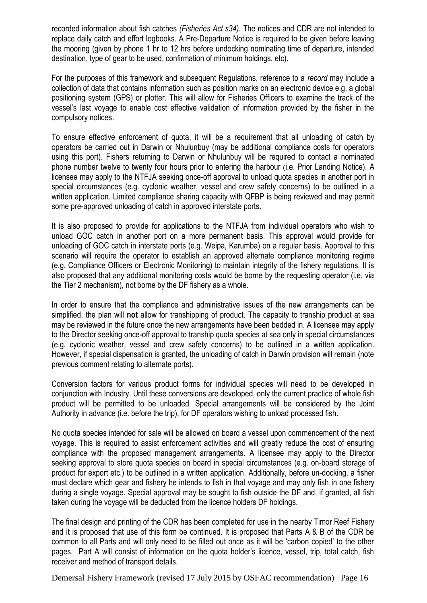recorded information about fish catches *(Fisheries Act s34).* The notices and CDR are not intended to replace daily catch and effort logbooks. A Pre-Departure Notice is required to be given before leaving the mooring (given by phone 1 hr to 12 hrs before undocking nominating time of departure, intended destination, type of gear to be used, confirmation of minimum holdings, etc)*.*

For the purposes of this framework and subsequent Regulations, reference to a *record* may include a collection of data that contains information such as position marks on an electronic device e.g. a global positioning system (GPS) or plotter. This will allow for Fisheries Officers to examine the track of the vessel's last voyage to enable cost effective validation of information provided by the fisher in the compulsory notices.

To ensure effective enforcement of quota, it will be a requirement that all unloading of catch by operators be carried out in Darwin or Nhulunbuy (may be additional compliance costs for operators using this port). Fishers returning to Darwin or Nhulunbuy will be required to contact a nominated phone number twelve to twenty four hours prior to entering the harbour (i.e. Prior Landing Notice)*.* A licensee may apply to the NTFJA seeking once-off approval to unload quota species in another port in special circumstances (e.g. cyclonic weather, vessel and crew safety concerns) to be outlined in a written application*.* Limited compliance sharing capacity with QFBP is being reviewed and may permit some pre-approved unloading of catch in approved interstate ports.

It is also proposed to provide for applications to the NTFJA from individual operators who wish to unload GOC catch in another port on a more permanent basis. This approval would provide for unloading of GOC catch in interstate ports (e.g. Weipa, Karumba) on a regular basis. Approval to this scenario will require the operator to establish an approved alternate compliance monitoring regime (e.g. Compliance Officers or Electronic Monitoring) to maintain integrity of the fishery regulations. It is also proposed that any additional monitoring costs would be borne by the requesting operator (i.e. via the Tier 2 mechanism), not borne by the DF fishery as a whole.

In order to ensure that the compliance and administrative issues of the new arrangements can be simplified, the plan will **not** allow for transhipping of product*.* The capacity to tranship product at sea may be reviewed in the future once the new arrangements have been bedded in. A licensee may apply to the Director seeking once-off approval to tranship quota species at sea only in special circumstances (e.g. cyclonic weather, vessel and crew safety concerns) to be outlined in a written application*.*  However, if special dispensation is granted, the unloading of catch in Darwin provision will remain (note previous comment relating to alternate ports)*.*

Conversion factors for various product forms for individual species will need to be developed in conjunction with Industry. Until these conversions are developed, only the current practice of whole fish product will be permitted to be unloaded*.* Special arrangements will be considered by the Joint Authority in advance (i.e. before the trip), for DF operators wishing to unload processed fish*.*

No quota species intended for sale will be allowed on board a vessel upon commencement of the next voyage*.* This is required to assist enforcement activities and will greatly reduce the cost of ensuring compliance with the proposed management arrangements. A licensee may apply to the Director seeking approval to store quota species on board in special circumstances (e.g. on-board storage of product for export etc.) to be outlined in a written application*.* Additionally, before un-docking, a fisher must declare which gear and fishery he intends to fish in that voyage and may only fish in one fishery during a single voyage*.* Special approval may be sought to fish outside the DF and, if granted, all fish taken during the voyage will be deducted from the licence holders DF holdings.

The final design and printing of the CDR has been completed for use in the nearby Timor Reef Fishery and it is proposed that use of this form be continued. It is proposed that Parts A & B of the CDR be common to all Parts and will only need to be filled out once as it will be 'carbon copied' to the other pages. Part A will consist of information on the quota holder's licence, vessel, trip, total catch, fish receiver and method of transport details.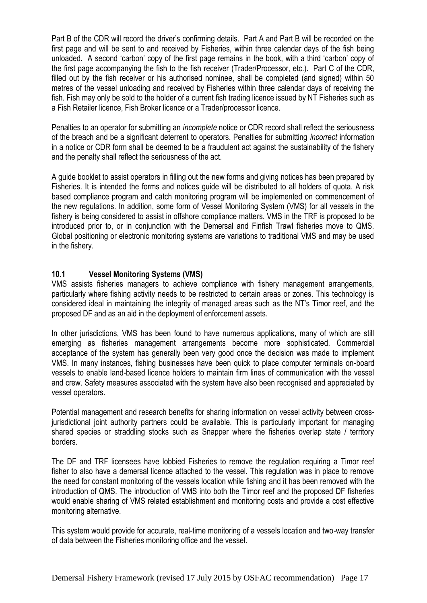Part B of the CDR will record the driver's confirming details. Part A and Part B will be recorded on the first page and will be sent to and received by Fisheries, within three calendar days of the fish being unloaded. A second 'carbon' copy of the first page remains in the book, with a third 'carbon' copy of the first page accompanying the fish to the fish receiver (Trader/Processor, etc.). Part C of the CDR, filled out by the fish receiver or his authorised nominee, shall be completed (and signed) within 50 metres of the vessel unloading and received by Fisheries within three calendar days of receiving the fish. Fish may only be sold to the holder of a current fish trading licence issued by NT Fisheries such as a Fish Retailer licence, Fish Broker licence or a Trader/processor licence.

Penalties to an operator for submitting an *incomplete* notice or CDR record shall reflect the seriousness of the breach and be a significant deterrent to operators. Penalties for submitting *incorrect* information in a notice or CDR form shall be deemed to be a fraudulent act against the sustainability of the fishery and the penalty shall reflect the seriousness of the act*.*

A guide booklet to assist operators in filling out the new forms and giving notices has been prepared by Fisheries. It is intended the forms and notices guide will be distributed to all holders of quota. A risk based compliance program and catch monitoring program will be implemented on commencement of the new regulations. In addition, some form of Vessel Monitoring System (VMS) for all vessels in the fishery is being considered to assist in offshore compliance matters. VMS in the TRF is proposed to be introduced prior to, or in conjunction with the Demersal and Finfish Trawl fisheries move to QMS. Global positioning or electronic monitoring systems are variations to traditional VMS and may be used in the fishery.

#### <span id="page-16-0"></span>**10.1 Vessel Monitoring Systems (VMS)**

VMS assists fisheries managers to achieve compliance with fishery management arrangements, particularly where fishing activity needs to be restricted to certain areas or zones. This technology is considered ideal in maintaining the integrity of managed areas such as the NT's Timor reef, and the proposed DF and as an aid in the deployment of enforcement assets.

In other jurisdictions, VMS has been found to have numerous applications, many of which are still emerging as fisheries management arrangements become more sophisticated. Commercial acceptance of the system has generally been very good once the decision was made to implement VMS. In many instances, fishing businesses have been quick to place computer terminals on-board vessels to enable land-based licence holders to maintain firm lines of communication with the vessel and crew. Safety measures associated with the system have also been recognised and appreciated by vessel operators.

Potential management and research benefits for sharing information on vessel activity between crossjurisdictional joint authority partners could be available. This is particularly important for managing shared species or straddling stocks such as Snapper where the fisheries overlap state / territory borders.

The DF and TRF licensees have lobbied Fisheries to remove the regulation requiring a Timor reef fisher to also have a demersal licence attached to the vessel. This regulation was in place to remove the need for constant monitoring of the vessels location while fishing and it has been removed with the introduction of QMS. The introduction of VMS into both the Timor reef and the proposed DF fisheries would enable sharing of VMS related establishment and monitoring costs and provide a cost effective monitoring alternative.

This system would provide for accurate, real-time monitoring of a vessels location and two-way transfer of data between the Fisheries monitoring office and the vessel.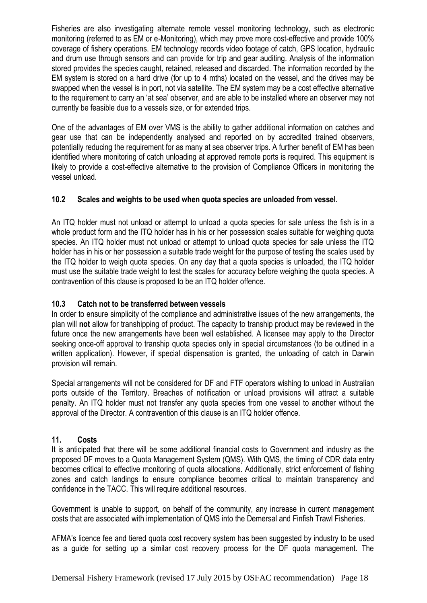Fisheries are also investigating alternate remote vessel monitoring technology, such as electronic monitoring (referred to as EM or e-Monitoring), which may prove more cost-effective and provide 100% coverage of fishery operations. EM technology records video footage of catch, GPS location, hydraulic and drum use through sensors and can provide for trip and gear auditing. Analysis of the information stored provides the species caught, retained, released and discarded. The information recorded by the EM system is stored on a hard drive (for up to 4 mths) located on the vessel, and the drives may be swapped when the vessel is in port, not via satellite. The EM system may be a cost effective alternative to the requirement to carry an 'at sea' observer, and are able to be installed where an observer may not currently be feasible due to a vessels size, or for extended trips.

One of the advantages of EM over VMS is the ability to gather additional information on catches and gear use that can be independently analysed and reported on by accredited trained observers, potentially reducing the requirement for as many at sea observer trips. A further benefit of EM has been identified where monitoring of catch unloading at approved remote ports is required. This equipment is likely to provide a cost-effective alternative to the provision of Compliance Officers in monitoring the vessel unload.

#### <span id="page-17-0"></span>**10.2 Scales and weights to be used when quota species are unloaded from vessel.**

An ITQ holder must not unload or attempt to unload a quota species for sale unless the fish is in a whole product form and the ITQ holder has in his or her possession scales suitable for weighing quota species. An ITQ holder must not unload or attempt to unload quota species for sale unless the ITQ holder has in his or her possession a suitable trade weight for the purpose of testing the scales used by the ITQ holder to weigh quota species. On any day that a quota species is unloaded, the ITQ holder must use the suitable trade weight to test the scales for accuracy before weighing the quota species. A contravention of this clause is proposed to be an ITQ holder offence.

#### <span id="page-17-1"></span>**10.3 Catch not to be transferred between vessels**

In order to ensure simplicity of the compliance and administrative issues of the new arrangements, the plan will **not** allow for transhipping of product. The capacity to tranship product may be reviewed in the future once the new arrangements have been well established. A licensee may apply to the Director seeking once-off approval to tranship quota species only in special circumstances (to be outlined in a written application). However, if special dispensation is granted, the unloading of catch in Darwin provision will remain.

Special arrangements will not be considered for DF and FTF operators wishing to unload in Australian ports outside of the Territory. Breaches of notification or unload provisions will attract a suitable penalty. An ITQ holder must not transfer any quota species from one vessel to another without the approval of the Director. A contravention of this clause is an ITQ holder offence.

#### <span id="page-17-2"></span>**11. Costs**

It is anticipated that there will be some additional financial costs to Government and industry as the proposed DF moves to a Quota Management System (QMS). With QMS, the timing of CDR data entry becomes critical to effective monitoring of quota allocations. Additionally, strict enforcement of fishing zones and catch landings to ensure compliance becomes critical to maintain transparency and confidence in the TACC. This will require additional resources.

Government is unable to support, on behalf of the community, any increase in current management costs that are associated with implementation of QMS into the Demersal and Finfish Trawl Fisheries.

AFMA's licence fee and tiered quota cost recovery system has been suggested by industry to be used as a guide for setting up a similar cost recovery process for the DF quota management. The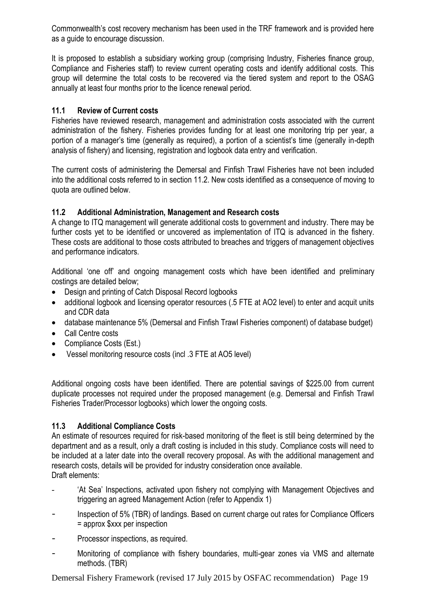Commonwealth's cost recovery mechanism has been used in the TRF framework and is provided here as a guide to encourage discussion.

It is proposed to establish a subsidiary working group (comprising Industry, Fisheries finance group, Compliance and Fisheries staff) to review current operating costs and identify additional costs. This group will determine the total costs to be recovered via the tiered system and report to the OSAG annually at least four months prior to the licence renewal period.

## <span id="page-18-0"></span>**11.1 Review of Current costs**

Fisheries have reviewed research, management and administration costs associated with the current administration of the fishery. Fisheries provides funding for at least one monitoring trip per year, a portion of a manager's time (generally as required), a portion of a scientist's time (generally in-depth analysis of fishery) and licensing, registration and logbook data entry and verification.

The current costs of administering the Demersal and Finfish Trawl Fisheries have not been included into the additional costs referred to in section 11.2. New costs identified as a consequence of moving to quota are outlined below.

#### <span id="page-18-1"></span>**11.2 Additional Administration, Management and Research costs**

A change to ITQ management will generate additional costs to government and industry. There may be further costs yet to be identified or uncovered as implementation of ITQ is advanced in the fishery. These costs are additional to those costs attributed to breaches and triggers of management objectives and performance indicators.

Additional 'one off' and ongoing management costs which have been identified and preliminary costings are detailed below;

- Design and printing of Catch Disposal Record logbooks
- additional logbook and licensing operator resources (.5 FTE at AO2 level) to enter and acquit units and CDR data
- database maintenance 5% (Demersal and Finfish Trawl Fisheries component) of database budget)
- Call Centre costs
- Compliance Costs (Est.)
- Vessel monitoring resource costs (incl .3 FTE at AO5 level)

Additional ongoing costs have been identified. There are potential savings of \$225.00 from current duplicate processes not required under the proposed management (e.g. Demersal and Finfish Trawl Fisheries Trader/Processor logbooks) which lower the ongoing costs.

#### <span id="page-18-2"></span>**11.3 Additional Compliance Costs**

An estimate of resources required for risk-based monitoring of the fleet is still being determined by the department and as a result, only a draft costing is included in this study. Compliance costs will need to be included at a later date into the overall recovery proposal. As with the additional management and research costs, details will be provided for industry consideration once available. Draft elements:

- *-* 'At Sea' Inspections, activated upon fishery not complying with Management Objectives and triggering an agreed Management Action (refer to Appendix 1)
- Inspection of 5% (TBR) of landings. Based on current charge out rates for Compliance Officers = approx \$xxx per inspection
- Processor inspections, as required.
- Monitoring of compliance with fishery boundaries, multi-gear zones via VMS and alternate methods. (TBR)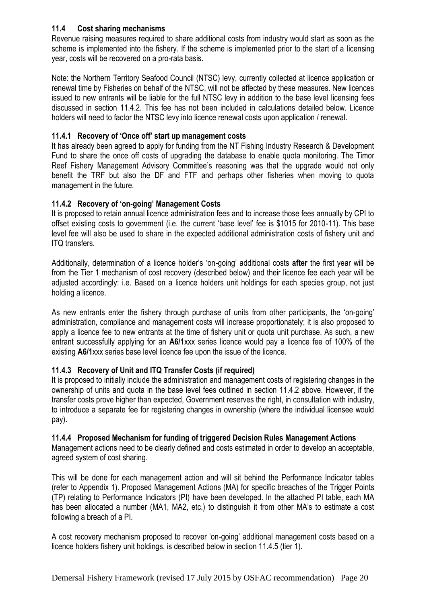#### <span id="page-19-0"></span>**11.4 Cost sharing mechanisms**

Revenue raising measures required to share additional costs from industry would start as soon as the scheme is implemented into the fishery. If the scheme is implemented prior to the start of a licensing year, costs will be recovered on a pro-rata basis.

Note: the Northern Territory Seafood Council (NTSC) levy, currently collected at licence application or renewal time by Fisheries on behalf of the NTSC, will not be affected by these measures. New licences issued to new entrants will be liable for the full NTSC levy in addition to the base level licensing fees discussed in section 11.4.2. This fee has not been included in calculations detailed below. Licence holders will need to factor the NTSC levy into licence renewal costs upon application / renewal.

#### <span id="page-19-1"></span>**11.4.1 Recovery of 'Once off' start up management costs**

It has already been agreed to apply for funding from the NT Fishing Industry Research & Development Fund to share the once off costs of upgrading the database to enable quota monitoring. The Timor Reef Fishery Management Advisory Committee's reasoning was that the upgrade would not only benefit the TRF but also the DF and FTF and perhaps other fisheries when moving to quota management in the future.

#### <span id="page-19-2"></span>**11.4.2 Recovery of 'on-going' Management Costs**

It is proposed to retain annual licence administration fees and to increase those fees annually by CPI to offset existing costs to government (i.e. the current 'base level' fee is \$1015 for 2010-11). This base level fee will also be used to share in the expected additional administration costs of fishery unit and ITQ transfers.

Additionally, determination of a licence holder's 'on-going' additional costs **after** the first year will be from the Tier 1 mechanism of cost recovery (described below) and their licence fee each year will be adjusted accordingly: i.e. Based on a licence holders unit holdings for each species group, not just holding a licence.

As new entrants enter the fishery through purchase of units from other participants, the 'on-going' administration, compliance and management costs will increase proportionately; it is also proposed to apply a licence fee to new entrants at the time of fishery unit or quota unit purchase. As such, a new entrant successfully applying for an **A6/1**xxx series licence would pay a licence fee of 100% of the existing **A6/1**xxx series base level licence fee upon the issue of the licence.

# <span id="page-19-3"></span>**11.4.3 Recovery of Unit and ITQ Transfer Costs (if required)**

It is proposed to initially include the administration and management costs of registering changes in the ownership of units and quota in the base level fees outlined in section 11.4.2 above. However, if the transfer costs prove higher than expected, Government reserves the right, in consultation with industry, to introduce a separate fee for registering changes in ownership (where the individual licensee would pay).

#### <span id="page-19-4"></span>**11.4.4 Proposed Mechanism for funding of triggered Decision Rules Management Actions**

Management actions need to be clearly defined and costs estimated in order to develop an acceptable, agreed system of cost sharing.

This will be done for each management action and will sit behind the Performance Indicator tables (refer to Appendix 1). Proposed Management Actions (MA) for specific breaches of the Trigger Points (TP) relating to Performance Indicators (PI) have been developed. In the attached PI table, each MA has been allocated a number (MA1, MA2, etc.) to distinguish it from other MA's to estimate a cost following a breach of a PI.

A cost recovery mechanism proposed to recover 'on-going' additional management costs based on a licence holders fishery unit holdings, is described below in section 11.4.5 (tier 1).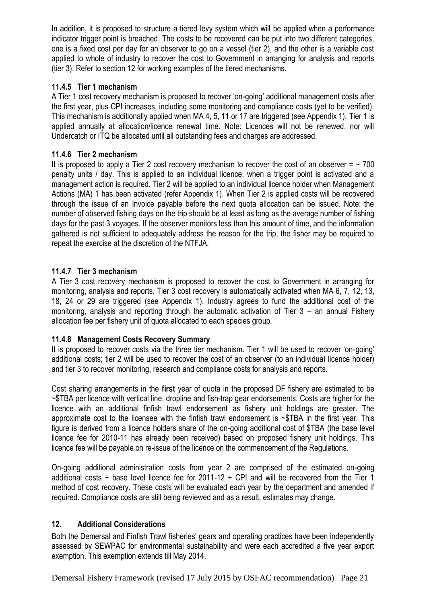In addition, it is proposed to structure a tiered levy system which will be applied when a performance indicator trigger point is breached. The costs to be recovered can be put into two different categories, one is a fixed cost per day for an observer to go on a vessel (tier 2), and the other is a variable cost applied to whole of industry to recover the cost to Government in arranging for analysis and reports (tier 3). Refer to section 12 for working examples of the tiered mechanisms.

## <span id="page-20-0"></span>**11.4.5 Tier 1 mechanism**

A Tier 1 cost recovery mechanism is proposed to recover 'on-going' additional management costs after the first year, plus CPI increases, including some monitoring and compliance costs (yet to be verified). This mechanism is additionally applied when MA 4, 5, 11 or 17 are triggered (see Appendix 1). Tier 1 is applied annually at allocation/licence renewal time. Note: Licences will not be renewed, nor will Undercatch or ITQ be allocated until all outstanding fees and charges are addressed.

#### <span id="page-20-1"></span>**11.4.6 Tier 2 mechanism**

It is proposed to apply a Tier 2 cost recovery mechanism to recover the cost of an observer  $=$   $\sim$  700 penalty units / day. This is applied to an individual licence, when a trigger point is activated and a management action is required. Tier 2 will be applied to an individual licence holder when Management Actions (MA) 1 has been activated (refer Appendix 1). When Tier 2 is applied costs will be recovered through the issue of an Invoice payable before the next quota allocation can be issued. Note: the number of observed fishing days on the trip should be at least as long as the average number of fishing days for the past 3 voyages. If the observer monitors less than this amount of time, and the information gathered is not sufficient to adequately address the reason for the trip, the fisher may be required to repeat the exercise at the discretion of the NTFJA.

# <span id="page-20-2"></span>**11.4.7 Tier 3 mechanism**

A Tier 3 cost recovery mechanism is proposed to recover the cost to Government in arranging for monitoring, analysis and reports. Tier 3 cost recovery is automatically activated when MA 6, 7, 12, 13, 18, 24 or 29 are triggered (see Appendix 1). Industry agrees to fund the additional cost of the monitoring, analysis and reporting through the automatic activation of Tier 3 – an annual Fishery allocation fee per fishery unit of quota allocated to each species group.

# <span id="page-20-3"></span>**11.4.8 Management Costs Recovery Summary**

It is proposed to recover costs via the three tier mechanism. Tier 1 will be used to recover 'on-going' additional costs; tier 2 will be used to recover the cost of an observer (to an individual licence holder) and tier 3 to recover monitoring, research and compliance costs for analysis and reports.

Cost sharing arrangements in the **first** year of quota in the proposed DF fishery are estimated to be ~\$TBA per licence with vertical line, dropline and fish-trap gear endorsements. Costs are higher for the licence with an additional finfish trawl endorsement as fishery unit holdings are greater. The approximate cost to the licensee with the finfish trawl endorsement is ~\$TBA in the first year. This figure is derived from a licence holders share of the on-going additional cost of \$TBA (the base level licence fee for 2010-11 has already been received) based on proposed fishery unit holdings. This licence fee will be payable on re-issue of the licence on the commencement of the Regulations.

On-going additional administration costs from year 2 are comprised of the estimated on-going additional costs + base level licence fee for 2011-12 + CPI and will be recovered from the Tier 1 method of cost recovery. These costs will be evaluated each year by the department and amended if required. Compliance costs are still being reviewed and as a result, estimates may change.

# <span id="page-20-4"></span>**12. Additional Considerations**

Both the Demersal and Finfish Trawl fisheries' gears and operating practices have been independently assessed by SEWPAC for environmental sustainability and were each accredited a five year export exemption. This exemption extends till May 2014.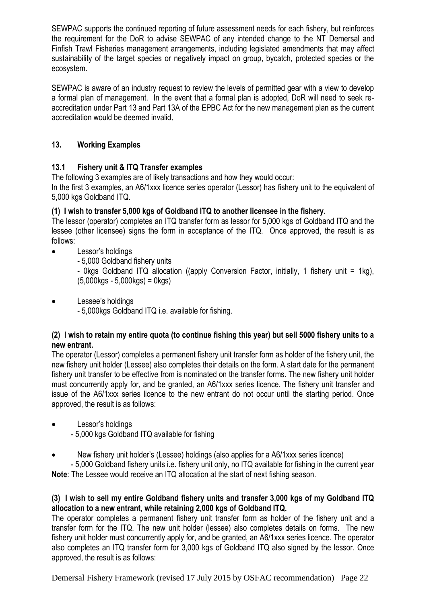SEWPAC supports the continued reporting of future assessment needs for each fishery, but reinforces the requirement for the DoR to advise SEWPAC of any intended change to the NT Demersal and Finfish Trawl Fisheries management arrangements, including legislated amendments that may affect sustainability of the target species or negatively impact on group, bycatch, protected species or the ecosystem.

SEWPAC is aware of an industry request to review the levels of permitted gear with a view to develop a formal plan of management. In the event that a formal plan is adopted, DoR will need to seek reaccreditation under Part 13 and Part 13A of the EPBC Act for the new management plan as the current accreditation would be deemed invalid.

# <span id="page-21-1"></span><span id="page-21-0"></span>**13. Working Examples**

#### **13.1 Fishery unit & ITQ Transfer examples**

The following 3 examples are of likely transactions and how they would occur:

In the first 3 examples, an A6/1xxx licence series operator (Lessor) has fishery unit to the equivalent of 5,000 kgs Goldband ITQ.

#### **(1) I wish to transfer 5,000 kgs of Goldband ITQ to another licensee in the fishery.**

The lessor (operator) completes an ITQ transfer form as lessor for 5,000 kgs of Goldband ITQ and the lessee (other licensee) signs the form in acceptance of the ITQ. Once approved, the result is as follows:

- Lessor's holdings
	- 5,000 Goldband fishery units

- 0kgs Goldband ITQ allocation ((apply Conversion Factor, initially, 1 fishery unit = 1kg),  $(5.000$ kgs - 5.000kgs) = 0kgs)

Lessee's holdings

- 5,000kgs Goldband ITQ i.e. available for fishing.

#### **(2) I wish to retain my entire quota (to continue fishing this year) but sell 5000 fishery units to a new entrant.**

The operator (Lessor) completes a permanent fishery unit transfer form as holder of the fishery unit, the new fishery unit holder (Lessee) also completes their details on the form. A start date for the permanent fishery unit transfer to be effective from is nominated on the transfer forms. The new fishery unit holder must concurrently apply for, and be granted, an A6/1xxx series licence. The fishery unit transfer and issue of the A6/1xxx series licence to the new entrant do not occur until the starting period. Once approved, the result is as follows:

- Lessor's holdings
	- 5,000 kgs Goldband ITQ available for fishing
- New fishery unit holder's (Lessee) holdings (also applies for a A6/1xxx series licence)

- 5,000 Goldband fishery units i.e. fishery unit only, no ITQ available for fishing in the current year **Note**: The Lessee would receive an ITQ allocation at the start of next fishing season.

#### **(3) I wish to sell my entire Goldband fishery units and transfer 3,000 kgs of my Goldband ITQ allocation to a new entrant, while retaining 2,000 kgs of Goldband ITQ.**

The operator completes a permanent fishery unit transfer form as holder of the fishery unit and a transfer form for the ITQ. The new unit holder (lessee) also completes details on forms. The new fishery unit holder must concurrently apply for, and be granted, an A6/1xxx series licence. The operator also completes an ITQ transfer form for 3,000 kgs of Goldband ITQ also signed by the lessor. Once approved, the result is as follows: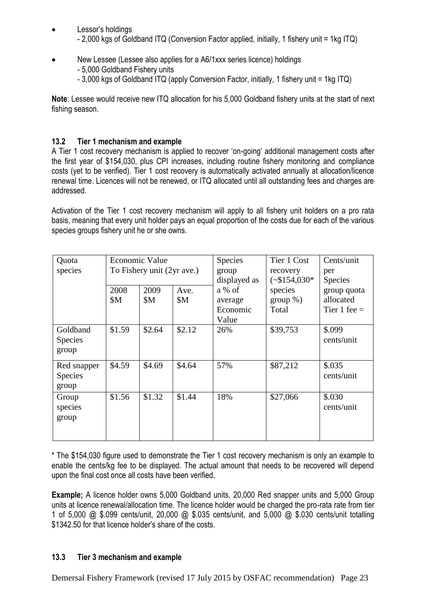- Lessor's holdings - 2,000 kgs of Goldband ITQ (Conversion Factor applied, initially, 1 fishery unit = 1kg ITQ)
- New Lessee (Lessee also applies for a A6/1xxx series licence) holdings - 5,000 Goldband Fishery units
	- 3,000 kgs of Goldband ITQ (apply Conversion Factor, initially, 1 fishery unit = 1kg ITQ)

**Note**: Lessee would receive new ITQ allocation for his 5,000 Goldband fishery units at the start of next fishing season.

#### <span id="page-22-0"></span>**13.2 Tier 1 mechanism and example**

A Tier 1 cost recovery mechanism is applied to recover 'on-going' additional management costs after the first year of \$154,030, plus CPI increases, including routine fishery monitoring and compliance costs (yet to be verified). Tier 1 cost recovery is automatically activated annually at allocation/licence renewal time. Licences will not be renewed, or ITQ allocated until all outstanding fees and charges are addressed.

Activation of the Tier 1 cost recovery mechanism will apply to all fishery unit holders on a pro rata basis, meaning that every unit holder pays an equal proportion of the costs due for each of the various species groups fishery unit he or she owns.

| Quota                                 | Economic Value |        | Species    | Tier 1 Cost  | Cents/unit     |                |
|---------------------------------------|----------------|--------|------------|--------------|----------------|----------------|
| species<br>To Fishery unit (2yr ave.) |                | group  | recovery   | per          |                |                |
|                                       |                |        |            | displayed as | $(*\$154,030*$ | <b>Species</b> |
|                                       | 2008           | 2009   | Ave.       | a % of       | species        | group quota    |
|                                       | \$M\$          | \$M\$  | <b>\$M</b> | average      | $group\%)$     | allocated      |
|                                       |                |        |            | Economic     | Total          | Tier 1 fee $=$ |
|                                       |                |        |            | Value        |                |                |
| Goldband                              | \$1.59         | \$2.64 | \$2.12     | 26%          | \$39,753       | \$.099         |
| Species                               |                |        |            |              |                | cents/unit     |
| group                                 |                |        |            |              |                |                |
| Red snapper                           | \$4.59         | \$4.69 | \$4.64     | 57%          | \$87,212       | \$.035         |
| <b>Species</b>                        |                |        |            |              |                | cents/unit     |
| group                                 |                |        |            |              |                |                |
| Group                                 | \$1.56         | \$1.32 | \$1.44     | 18%          | \$27,066       | \$.030         |
| species                               |                |        |            |              |                | cents/unit     |
| group                                 |                |        |            |              |                |                |
|                                       |                |        |            |              |                |                |
|                                       |                |        |            |              |                |                |

\* The \$154,030 figure used to demonstrate the Tier 1 cost recovery mechanism is only an example to enable the cents/kg fee to be displayed. The actual amount that needs to be recovered will depend upon the final cost once all costs have been verified.

**Example;** A licence holder owns 5,000 Goldband units, 20,000 Red snapper units and 5,000 Group units at licence renewal/allocation time. The licence holder would be charged the pro-rata rate from tier 1 of 5,000 @ \$.099 cents/unit, 20,000 @ \$.035 cents/unit, and 5,000 @ \$.030 cents/unit totalling \$1342.50 for that licence holder's share of the costs.

#### <span id="page-22-1"></span>**13.3 Tier 3 mechanism and example**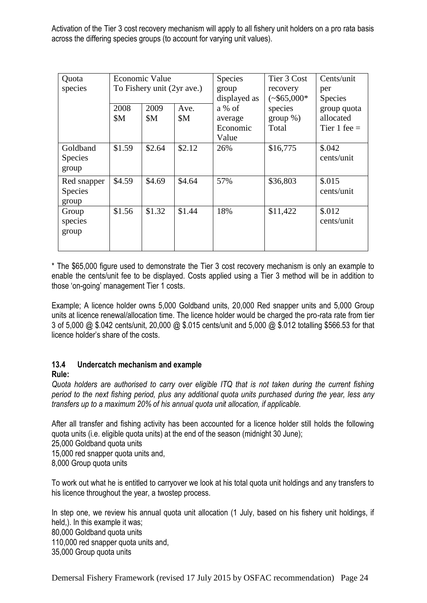Activation of the Tier 3 cost recovery mechanism will apply to all fishery unit holders on a pro rata basis across the differing species groups (to account for varying unit values).

| Quota          | <b>Economic Value</b>      |        | <b>Species</b> | Tier 3 Cost  | Cents/unit    |                |
|----------------|----------------------------|--------|----------------|--------------|---------------|----------------|
| species        | To Fishery unit (2yr ave.) |        | group          | recovery     | per           |                |
|                |                            |        |                | displayed as | $(*\$65,000*$ | <b>Species</b> |
|                | 2008                       | 2009   | Ave.           | a % of       | species       | group quota    |
|                | \$M\$                      | \$M\$  | \$M\$          | average      | $group\%)$    | allocated      |
|                |                            |        |                | Economic     | Total         | Tier 1 fee $=$ |
|                |                            |        |                | Value        |               |                |
| Goldband       | \$1.59                     | \$2.64 | \$2.12         | 26%          | \$16,775      | \$.042         |
| Species        |                            |        |                |              |               | cents/unit     |
| group          |                            |        |                |              |               |                |
| Red snapper    | \$4.59                     | \$4.69 | \$4.64         | 57%          | \$36,803      | \$.015         |
| <b>Species</b> |                            |        |                |              |               | cents/unit     |
| group          |                            |        |                |              |               |                |
| Group          | \$1.56                     | \$1.32 | \$1.44         | 18%          | \$11,422      | \$.012         |
| species        |                            |        |                |              |               | cents/unit     |
| group          |                            |        |                |              |               |                |
|                |                            |        |                |              |               |                |
|                |                            |        |                |              |               |                |

\* The \$65,000 figure used to demonstrate the Tier 3 cost recovery mechanism is only an example to enable the cents/unit fee to be displayed. Costs applied using a Tier 3 method will be in addition to those 'on-going' management Tier 1 costs.

Example; A licence holder owns 5,000 Goldband units, 20,000 Red snapper units and 5,000 Group units at licence renewal/allocation time. The licence holder would be charged the pro-rata rate from tier 3 of 5,000 @ \$.042 cents/unit, 20,000 @ \$.015 cents/unit and 5,000 @ \$.012 totalling \$566.53 for that licence holder's share of the costs.

# **13.4 Undercatch mechanism and example**

# **Rule:**

*Quota holders are authorised to carry over eligible ITQ that is not taken during the current fishing period to the next fishing period, plus any additional quota units purchased during the year, less any transfers up to a maximum 20% of his annual quota unit allocation, if applicable.*

After all transfer and fishing activity has been accounted for a licence holder still holds the following quota units (i.e. eligible quota units) at the end of the season (midnight 30 June);

25,000 Goldband quota units

15,000 red snapper quota units and,

8,000 Group quota units

To work out what he is entitled to carryover we look at his total quota unit holdings and any transfers to his licence throughout the year, a twostep process.

In step one, we review his annual quota unit allocation (1 July, based on his fishery unit holdings, if held,). In this example it was; 80,000 Goldband quota units 110,000 red snapper quota units and, 35,000 Group quota units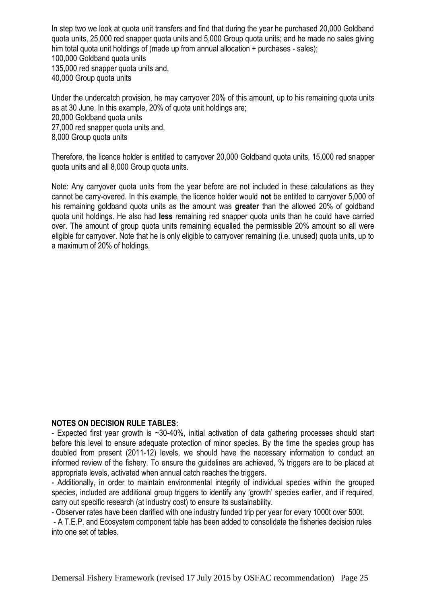In step two we look at quota unit transfers and find that during the year he purchased 20,000 Goldband quota units, 25,000 red snapper quota units and 5,000 Group quota units; and he made no sales giving him total quota unit holdings of (made up from annual allocation + purchases - sales); 100,000 Goldband quota units 135,000 red snapper quota units and, 40,000 Group quota units

Under the undercatch provision, he may carryover 20% of this amount, up to his remaining quota units as at 30 June. In this example, 20% of quota unit holdings are; 20,000 Goldband quota units 27,000 red snapper quota units and, 8,000 Group quota units

Therefore, the licence holder is entitled to carryover 20,000 Goldband quota units, 15,000 red snapper quota units and all 8,000 Group quota units.

Note: Any carryover quota units from the year before are not included in these calculations as they cannot be carry-overed. In this example, the licence holder would **not** be entitled to carryover 5,000 of his remaining goldband quota units as the amount was **greater** than the allowed 20% of goldband quota unit holdings. He also had **less** remaining red snapper quota units than he could have carried over. The amount of group quota units remaining equalled the permissible 20% amount so all were eligible for carryover. Note that he is only eligible to carryover remaining (i.e. unused) quota units, up to a maximum of 20% of holdings.

#### **NOTES ON DECISION RULE TABLES:**

- Expected first year growth is ~30-40%, initial activation of data gathering processes should start before this level to ensure adequate protection of minor species. By the time the species group has doubled from present (2011-12) levels, we should have the necessary information to conduct an informed review of the fishery. To ensure the guidelines are achieved, % triggers are to be placed at appropriate levels, activated when annual catch reaches the triggers.

- Additionally, in order to maintain environmental integrity of individual species within the grouped species, included are additional group triggers to identify any 'growth' species earlier, and if required, carry out specific research (at industry cost) to ensure its sustainability.

- Observer rates have been clarified with one industry funded trip per year for every 1000t over 500t.

- A T.E.P. and Ecosystem component table has been added to consolidate the fisheries decision rules into one set of tables.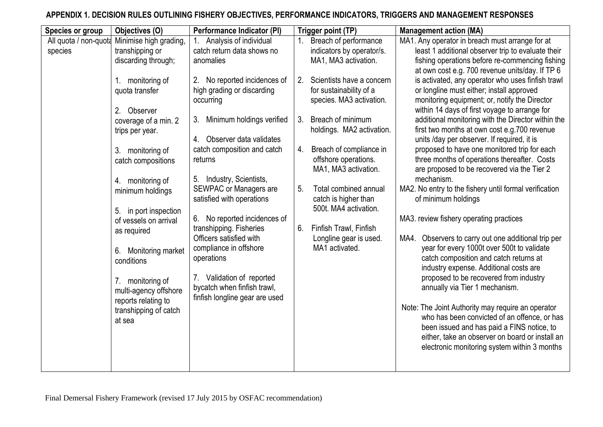# **APPENDIX 1. DECISION RULES OUTLINING FISHERY OBJECTIVES, PERFORMANCE INDICATORS, TRIGGERS AND MANAGEMENT RESPONSES**

| Species or group                 | Objectives (O)                                                                                                                                                                                                                                                                                                                                                                    | <b>Performance Indicator (PI)</b>                                                                                                                                                                                                                                                                                                                                                                                                                                           |          | Trigger point (TP)                                                                                                                                                                                                                                                                                                                     | <b>Management action (MA)</b>                                                                                                                                                                                                                                                                                                                                                                                                                                                                                                                                                                                                                                                                                                                                                                                                                                                                                                                                                                                                                                                                                           |
|----------------------------------|-----------------------------------------------------------------------------------------------------------------------------------------------------------------------------------------------------------------------------------------------------------------------------------------------------------------------------------------------------------------------------------|-----------------------------------------------------------------------------------------------------------------------------------------------------------------------------------------------------------------------------------------------------------------------------------------------------------------------------------------------------------------------------------------------------------------------------------------------------------------------------|----------|----------------------------------------------------------------------------------------------------------------------------------------------------------------------------------------------------------------------------------------------------------------------------------------------------------------------------------------|-------------------------------------------------------------------------------------------------------------------------------------------------------------------------------------------------------------------------------------------------------------------------------------------------------------------------------------------------------------------------------------------------------------------------------------------------------------------------------------------------------------------------------------------------------------------------------------------------------------------------------------------------------------------------------------------------------------------------------------------------------------------------------------------------------------------------------------------------------------------------------------------------------------------------------------------------------------------------------------------------------------------------------------------------------------------------------------------------------------------------|
| All quota / non-quota<br>species | Minimise high grading,<br>transhipping or<br>discarding through;<br>1. monitoring of                                                                                                                                                                                                                                                                                              | Analysis of individual<br>catch return data shows no<br>anomalies<br>No reported incidences of<br>2.                                                                                                                                                                                                                                                                                                                                                                        | 2.       | Breach of performance<br>indicators by operator/s.<br>MA1, MA3 activation.<br>Scientists have a concern                                                                                                                                                                                                                                | MA1. Any operator in breach must arrange for at<br>least 1 additional observer trip to evaluate their<br>fishing operations before re-commencing fishing<br>at own cost e.g. 700 revenue units/day. If TP 6<br>is activated, any operator who uses finfish trawl                                                                                                                                                                                                                                                                                                                                                                                                                                                                                                                                                                                                                                                                                                                                                                                                                                                        |
|                                  | quota transfer<br>2. Observer<br>coverage of a min. 2<br>trips per year.<br>3.<br>monitoring of<br>catch compositions<br>4. monitoring of<br>minimum holdings<br>in port inspection<br>5.<br>of vessels on arrival<br>as required<br>Monitoring market<br>6.<br>conditions<br>7. monitoring of<br>multi-agency offshore<br>reports relating to<br>transhipping of catch<br>at sea | high grading or discarding<br>occurring<br>Minimum holdings verified<br>3.<br>4. Observer data validates<br>catch composition and catch<br>returns<br>5. Industry, Scientists,<br><b>SEWPAC or Managers are</b><br>satisfied with operations<br>No reported incidences of<br>6.<br>transhipping. Fisheries<br>Officers satisfied with<br>compliance in offshore<br>operations<br>7. Validation of reported<br>bycatch when finfish trawl,<br>finfish longline gear are used | 5.<br>6. | for sustainability of a<br>species. MA3 activation.<br>3. Breach of minimum<br>holdings. MA2 activation.<br>4. Breach of compliance in<br>offshore operations.<br>MA1, MA3 activation.<br>Total combined annual<br>catch is higher than<br>500t. MA4 activation.<br>Finfish Trawl, Finfish<br>Longline gear is used.<br>MA1 activated. | or longline must either; install approved<br>monitoring equipment; or, notify the Director<br>within 14 days of first voyage to arrange for<br>additional monitoring with the Director within the<br>first two months at own cost e.g.700 revenue<br>units /day per observer. If required, it is<br>proposed to have one monitored trip for each<br>three months of operations thereafter. Costs<br>are proposed to be recovered via the Tier 2<br>mechanism.<br>MA2. No entry to the fishery until formal verification<br>of minimum holdings<br>MA3. review fishery operating practices<br>Observers to carry out one additional trip per<br>MA4.<br>year for every 1000t over 500t to validate<br>catch composition and catch returns at<br>industry expense. Additional costs are<br>proposed to be recovered from industry<br>annually via Tier 1 mechanism.<br>Note: The Joint Authority may require an operator<br>who has been convicted of an offence, or has<br>been issued and has paid a FINS notice, to<br>either, take an observer on board or install an<br>electronic monitoring system within 3 months |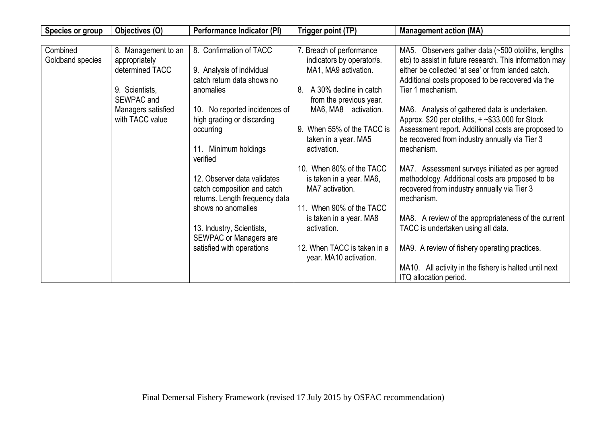| <b>Species or group</b>      | Objectives (O)                                          | Performance Indicator (PI)                                                         | Trigger point (TP)                                                            | <b>Management action (MA)</b>                                                                                                                                                                                            |
|------------------------------|---------------------------------------------------------|------------------------------------------------------------------------------------|-------------------------------------------------------------------------------|--------------------------------------------------------------------------------------------------------------------------------------------------------------------------------------------------------------------------|
|                              |                                                         |                                                                                    |                                                                               |                                                                                                                                                                                                                          |
| Combined<br>Goldband species | 8. Management to an<br>appropriately<br>determined TACC | 8. Confirmation of TACC<br>9. Analysis of individual<br>catch return data shows no | 7. Breach of performance<br>indicators by operator/s.<br>MA1, MA9 activation. | MA5. Observers gather data (~500 otoliths, lengths<br>etc) to assist in future research. This information may<br>either be collected 'at sea' or from landed catch.<br>Additional costs proposed to be recovered via the |
|                              | 9. Scientists,<br>SEWPAC and                            | anomalies                                                                          | 8.<br>A 30% decline in catch<br>from the previous year.                       | Tier 1 mechanism.                                                                                                                                                                                                        |
|                              | Managers satisfied<br>with TACC value                   | 10. No reported incidences of<br>high grading or discarding                        | MA6, MA8 activation.                                                          | MA6. Analysis of gathered data is undertaken.<br>Approx. \$20 per otoliths, $+$ ~\$33,000 for Stock                                                                                                                      |
|                              |                                                         | occurring                                                                          | When 55% of the TACC is<br>9.<br>taken in a year. MA5                         | Assessment report. Additional costs are proposed to<br>be recovered from industry annually via Tier 3                                                                                                                    |
|                              |                                                         | 11. Minimum holdings<br>verified                                                   | activation.                                                                   | mechanism.                                                                                                                                                                                                               |
|                              |                                                         | 12. Observer data validates                                                        | 10. When 80% of the TACC<br>is taken in a year. MA6,                          | MA7. Assessment surveys initiated as per agreed<br>methodology. Additional costs are proposed to be                                                                                                                      |
|                              |                                                         | catch composition and catch<br>returns. Length frequency data                      | MA7 activation.                                                               | recovered from industry annually via Tier 3<br>mechanism.                                                                                                                                                                |
|                              |                                                         | shows no anomalies                                                                 | 11. When 90% of the TACC<br>is taken in a year. MA8                           | MA8. A review of the appropriateness of the current                                                                                                                                                                      |
|                              |                                                         | 13. Industry, Scientists,<br><b>SEWPAC or Managers are</b>                         | activation.                                                                   | TACC is undertaken using all data.                                                                                                                                                                                       |
|                              |                                                         | satisfied with operations                                                          | 12. When TACC is taken in a<br>year. MA10 activation.                         | MA9. A review of fishery operating practices.                                                                                                                                                                            |
|                              |                                                         |                                                                                    |                                                                               | MA10. All activity in the fishery is halted until next<br>ITQ allocation period.                                                                                                                                         |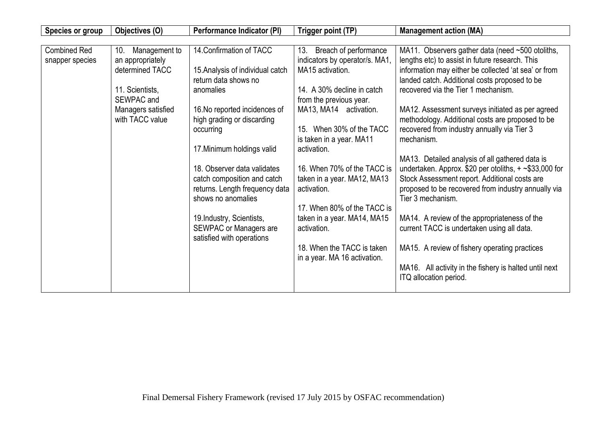| <b>Species or group</b>                | Objectives (O)                                                                 | Performance Indicator (PI)                                                                                                                                                     | Trigger point (TP)                                                                                                                                                                    | <b>Management action (MA)</b>                                                                                                                                                                                                                                                                                                      |
|----------------------------------------|--------------------------------------------------------------------------------|--------------------------------------------------------------------------------------------------------------------------------------------------------------------------------|---------------------------------------------------------------------------------------------------------------------------------------------------------------------------------------|------------------------------------------------------------------------------------------------------------------------------------------------------------------------------------------------------------------------------------------------------------------------------------------------------------------------------------|
|                                        |                                                                                |                                                                                                                                                                                |                                                                                                                                                                                       |                                                                                                                                                                                                                                                                                                                                    |
| <b>Combined Red</b><br>snapper species | Management to<br>10.<br>an appropriately<br>determined TACC<br>11. Scientists, | 14. Confirmation of TACC<br>15. Analysis of individual catch<br>return data shows no<br>anomalies                                                                              | 13. Breach of performance<br>indicators by operator/s. MA1,<br>MA15 activation.<br>14. A 30% decline in catch                                                                         | MA11. Observers gather data (need ~500 otoliths,<br>lengths etc) to assist in future research. This<br>information may either be collected 'at sea' or from<br>landed catch. Additional costs proposed to be<br>recovered via the Tier 1 mechanism.                                                                                |
|                                        | SEWPAC and<br>Managers satisfied<br>with TACC value                            | 16. No reported incidences of<br>high grading or discarding<br>occurring<br>17. Minimum holdings valid<br>18. Observer data validates                                          | from the previous year.<br>MA13, MA14 activation.<br>15. When 30% of the TACC<br>is taken in a year. MA11<br>activation.<br>16. When 70% of the TACC is                               | MA12. Assessment surveys initiated as per agreed<br>methodology. Additional costs are proposed to be<br>recovered from industry annually via Tier 3<br>mechanism.<br>MA13. Detailed analysis of all gathered data is<br>undertaken. Approx. \$20 per otoliths, $+$ ~\$33,000 for                                                   |
|                                        |                                                                                | catch composition and catch<br>returns. Length frequency data<br>shows no anomalies<br>19. Industry, Scientists,<br><b>SEWPAC or Managers are</b><br>satisfied with operations | taken in a year. MA12, MA13<br>activation.<br>17. When 80% of the TACC is<br>taken in a year. MA14, MA15<br>activation.<br>18. When the TACC is taken<br>in a year. MA 16 activation. | Stock Assessment report. Additional costs are<br>proposed to be recovered from industry annually via<br>Tier 3 mechanism.<br>MA14. A review of the appropriateness of the<br>current TACC is undertaken using all data.<br>MA15. A review of fishery operating practices<br>MA16. All activity in the fishery is halted until next |
|                                        |                                                                                |                                                                                                                                                                                |                                                                                                                                                                                       | ITQ allocation period.                                                                                                                                                                                                                                                                                                             |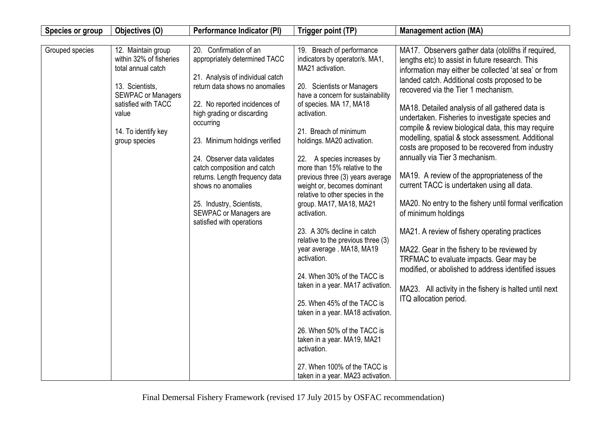| Species or group | Objectives (O)                                                                                                                                                                              | <b>Performance Indicator (PI)</b>                                                                                                                                                                                                                                                                                                                                                                                                                    | Trigger point (TP)                                                                                                                                                                                                                                                                                                                                                                                                                                                                                                                                                                                                                                                                                                                                                                                                                                                            | <b>Management action (MA)</b>                                                                                                                                                                                                                                                                                                                                                                                                                                                                                                                                                                                                                                                                                                                                                                                                                                                                                                                                                                                                       |
|------------------|---------------------------------------------------------------------------------------------------------------------------------------------------------------------------------------------|------------------------------------------------------------------------------------------------------------------------------------------------------------------------------------------------------------------------------------------------------------------------------------------------------------------------------------------------------------------------------------------------------------------------------------------------------|-------------------------------------------------------------------------------------------------------------------------------------------------------------------------------------------------------------------------------------------------------------------------------------------------------------------------------------------------------------------------------------------------------------------------------------------------------------------------------------------------------------------------------------------------------------------------------------------------------------------------------------------------------------------------------------------------------------------------------------------------------------------------------------------------------------------------------------------------------------------------------|-------------------------------------------------------------------------------------------------------------------------------------------------------------------------------------------------------------------------------------------------------------------------------------------------------------------------------------------------------------------------------------------------------------------------------------------------------------------------------------------------------------------------------------------------------------------------------------------------------------------------------------------------------------------------------------------------------------------------------------------------------------------------------------------------------------------------------------------------------------------------------------------------------------------------------------------------------------------------------------------------------------------------------------|
|                  |                                                                                                                                                                                             |                                                                                                                                                                                                                                                                                                                                                                                                                                                      |                                                                                                                                                                                                                                                                                                                                                                                                                                                                                                                                                                                                                                                                                                                                                                                                                                                                               |                                                                                                                                                                                                                                                                                                                                                                                                                                                                                                                                                                                                                                                                                                                                                                                                                                                                                                                                                                                                                                     |
| Grouped species  | 12. Maintain group<br>within 32% of fisheries<br>total annual catch<br>13. Scientists,<br><b>SEWPAC or Managers</b><br>satisfied with TACC<br>value<br>14. To identify key<br>group species | 20. Confirmation of an<br>appropriately determined TACC<br>21. Analysis of individual catch<br>return data shows no anomalies<br>22. No reported incidences of<br>high grading or discarding<br>occurring<br>23. Minimum holdings verified<br>24. Observer data validates<br>catch composition and catch<br>returns. Length frequency data<br>shows no anomalies<br>25. Industry, Scientists,<br>SEWPAC or Managers are<br>satisfied with operations | 19. Breach of performance<br>indicators by operator/s. MA1,<br>MA21 activation.<br>20. Scientists or Managers<br>have a concern for sustainability<br>of species. MA 17, MA18<br>activation.<br>21. Breach of minimum<br>holdings. MA20 activation.<br>22. A species increases by<br>more than 15% relative to the<br>previous three (3) years average<br>weight or, becomes dominant<br>relative to other species in the<br>group. MA17, MA18, MA21<br>activation.<br>23. A 30% decline in catch<br>relative to the previous three (3)<br>year average . MA18, MA19<br>activation.<br>24. When 30% of the TACC is<br>taken in a year. MA17 activation.<br>25. When 45% of the TACC is<br>taken in a year. MA18 activation.<br>26. When 50% of the TACC is<br>taken in a year. MA19, MA21<br>activation.<br>27. When 100% of the TACC is<br>taken in a year. MA23 activation. | MA17. Observers gather data (otoliths if required,<br>lengths etc) to assist in future research. This<br>information may either be collected 'at sea' or from<br>landed catch. Additional costs proposed to be<br>recovered via the Tier 1 mechanism.<br>MA18. Detailed analysis of all gathered data is<br>undertaken. Fisheries to investigate species and<br>compile & review biological data, this may require<br>modelling, spatial & stock assessment. Additional<br>costs are proposed to be recovered from industry<br>annually via Tier 3 mechanism.<br>MA19. A review of the appropriateness of the<br>current TACC is undertaken using all data.<br>MA20. No entry to the fishery until formal verification<br>of minimum holdings<br>MA21. A review of fishery operating practices<br>MA22. Gear in the fishery to be reviewed by<br>TRFMAC to evaluate impacts. Gear may be<br>modified, or abolished to address identified issues<br>MA23. All activity in the fishery is halted until next<br>ITQ allocation period. |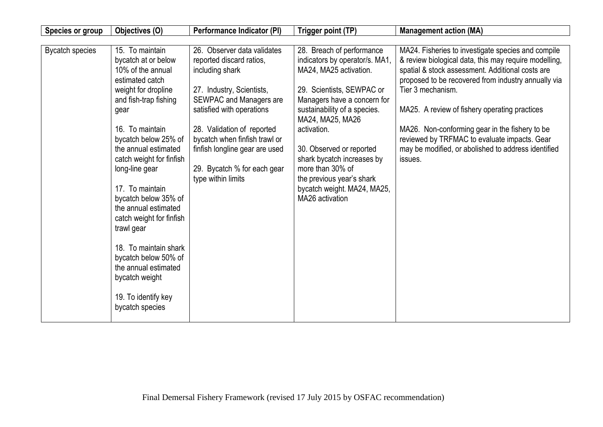| Species or group       | Objectives (O)                                                                                                                                                                                                                   | Performance Indicator (PI)                                                                                                                                                                                                                                       | Trigger point (TP)                                                                                                                                                                                                                               | <b>Management action (MA)</b>                                                                                                                                                                                                                                                                                                                                                                                                                         |
|------------------------|----------------------------------------------------------------------------------------------------------------------------------------------------------------------------------------------------------------------------------|------------------------------------------------------------------------------------------------------------------------------------------------------------------------------------------------------------------------------------------------------------------|--------------------------------------------------------------------------------------------------------------------------------------------------------------------------------------------------------------------------------------------------|-------------------------------------------------------------------------------------------------------------------------------------------------------------------------------------------------------------------------------------------------------------------------------------------------------------------------------------------------------------------------------------------------------------------------------------------------------|
| <b>Bycatch species</b> | 15. To maintain<br>bycatch at or below<br>10% of the annual<br>estimated catch<br>weight for dropline<br>and fish-trap fishing<br>gear<br>16. To maintain<br>bycatch below 25% of<br>the annual estimated                        | 26. Observer data validates<br>reported discard ratios,<br>including shark<br>27. Industry, Scientists,<br>SEWPAC and Managers are<br>satisfied with operations<br>28. Validation of reported<br>bycatch when finfish trawl or<br>finfish longline gear are used | 28. Breach of performance<br>indicators by operator/s. MA1,<br>MA24, MA25 activation.<br>29. Scientists, SEWPAC or<br>Managers have a concern for<br>sustainability of a species.<br>MA24, MA25, MA26<br>activation.<br>30. Observed or reported | MA24. Fisheries to investigate species and compile<br>& review biological data, this may require modelling,<br>spatial & stock assessment. Additional costs are<br>proposed to be recovered from industry annually via<br>Tier 3 mechanism.<br>MA25. A review of fishery operating practices<br>MA26. Non-conforming gear in the fishery to be<br>reviewed by TRFMAC to evaluate impacts. Gear<br>may be modified, or abolished to address identified |
|                        | catch weight for finfish<br>long-line gear<br>17. To maintain<br>bycatch below 35% of<br>the annual estimated<br>catch weight for finfish<br>trawl gear<br>18. To maintain shark<br>bycatch below 50% of<br>the annual estimated | 29. Bycatch % for each gear<br>type within limits                                                                                                                                                                                                                | shark bycatch increases by<br>more than 30% of<br>the previous year's shark<br>bycatch weight. MA24, MA25,<br>MA26 activation                                                                                                                    | issues.                                                                                                                                                                                                                                                                                                                                                                                                                                               |
|                        | bycatch weight<br>19. To identify key<br>bycatch species                                                                                                                                                                         |                                                                                                                                                                                                                                                                  |                                                                                                                                                                                                                                                  |                                                                                                                                                                                                                                                                                                                                                                                                                                                       |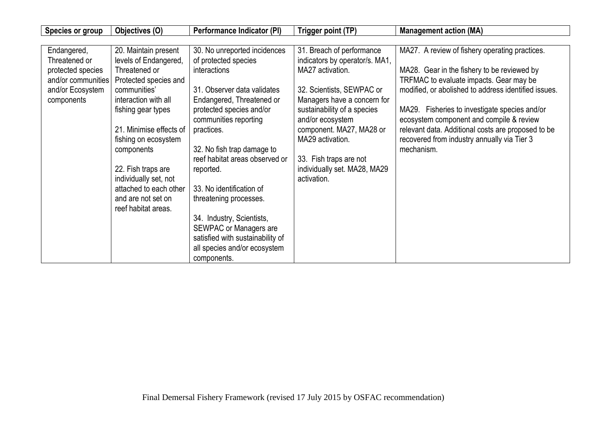| Species or group                                                                                          | Objectives (O)                                                                                                                     | Performance Indicator (PI)                                                                                                                                                                          | Trigger point (TP)                                                                                                                                                       | <b>Management action (MA)</b>                                                                                                                                                                                |
|-----------------------------------------------------------------------------------------------------------|------------------------------------------------------------------------------------------------------------------------------------|-----------------------------------------------------------------------------------------------------------------------------------------------------------------------------------------------------|--------------------------------------------------------------------------------------------------------------------------------------------------------------------------|--------------------------------------------------------------------------------------------------------------------------------------------------------------------------------------------------------------|
| Endangered,<br>Threatened or<br>protected species<br>and/or communities<br>and/or Ecosystem<br>components | 20. Maintain present<br>levels of Endangered,<br>Threatened or<br>Protected species and<br>communities'<br>interaction with all    | 30. No unreported incidences<br>of protected species<br>interactions<br>31. Observer data validates<br>Endangered, Threatened or                                                                    | 31. Breach of performance<br>indicators by operator/s. MA1,<br>MA27 activation.<br>32. Scientists, SEWPAC or<br>Managers have a concern for                              | MA27. A review of fishery operating practices.<br>MA28. Gear in the fishery to be reviewed by<br>TRFMAC to evaluate impacts. Gear may be<br>modified, or abolished to address identified issues.             |
|                                                                                                           | fishing gear types<br>21. Minimise effects of<br>fishing on ecosystem<br>components<br>22. Fish traps are<br>individually set, not | protected species and/or<br>communities reporting<br>practices.<br>32. No fish trap damage to<br>reef habitat areas observed or<br>reported.                                                        | sustainability of a species<br>and/or ecosystem<br>component. MA27, MA28 or<br>MA29 activation.<br>33. Fish traps are not<br>individually set. MA28, MA29<br>activation. | MA29. Fisheries to investigate species and/or<br>ecosystem component and compile & review<br>relevant data. Additional costs are proposed to be<br>recovered from industry annually via Tier 3<br>mechanism. |
|                                                                                                           | attached to each other<br>and are not set on<br>reef habitat areas.                                                                | 33. No identification of<br>threatening processes.<br>34. Industry, Scientists,<br><b>SEWPAC or Managers are</b><br>satisfied with sustainability of<br>all species and/or ecosystem<br>components. |                                                                                                                                                                          |                                                                                                                                                                                                              |